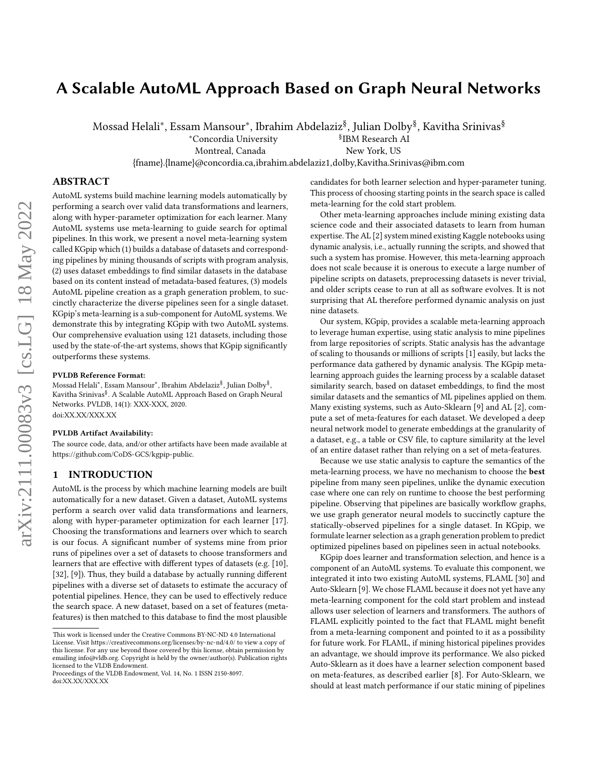# A Scalable AutoML Approach Based on Graph Neural Networks

Mossad Helali\*, Essam Mansour\*, Ibrahim Abdelaziz<sup>§</sup>, Julian Dolby<sup>§</sup>, Kavitha Srinivas<sup>§</sup>

*<u>SIBM</u>* Research AI

Montreal, Canada New York, US

<sup>∗</sup>Concordia University §

{fname}.{lname}@concordia.ca,ibrahim.abdelaziz1,dolby,Kavitha.Srinivas@ibm.com

# ABSTRACT

AutoML systems build machine learning models automatically by performing a search over valid data transformations and learners, along with hyper-parameter optimization for each learner. Many AutoML systems use meta-learning to guide search for optimal pipelines. In this work, we present a novel meta-learning system called KGpip which (1) builds a database of datasets and corresponding pipelines by mining thousands of scripts with program analysis, (2) uses dataset embeddings to find similar datasets in the database based on its content instead of metadata-based features, (3) models AutoML pipeline creation as a graph generation problem, to succinctly characterize the diverse pipelines seen for a single dataset. KGpip's meta-learning is a sub-component for AutoML systems. We demonstrate this by integrating KGpip with two AutoML systems. Our comprehensive evaluation using 121 datasets, including those used by the state-of-the-art systems, shows that KGpip significantly outperforms these systems.

#### PVLDB Reference Format:

Mossad Helali\*, Essam Mansour\*, Ibrahim Abdelaziz<sup>§</sup>, Julian Dolby<sup>§</sup>, Kavitha Srinivas§ . A Scalable AutoML Approach Based on Graph Neural Networks. PVLDB, 14(1): XXX-XXX, 2020. [doi:XX.XX/XXX.XX](https://doi.org/XX.XX/XXX.XX)

#### PVLDB Artifact Availability:

The source code, data, and/or other artifacts have been made available at [https://github.com/CoDS-GCS/kgpip-public.](https://github.com/CoDS-GCS/kgpip-public)

# 1 INTRODUCTION

AutoML is the process by which machine learning models are built automatically for a new dataset. Given a dataset, AutoML systems perform a search over valid data transformations and learners, along with hyper-parameter optimization for each learner [\[17\]](#page-8-0). Choosing the transformations and learners over which to search is our focus. A significant number of systems mine from prior runs of pipelines over a set of datasets to choose transformers and learners that are effective with different types of datasets (e.g. [\[10\]](#page-8-1), [\[32\]](#page-8-2), [\[9\]](#page-8-3)). Thus, they build a database by actually running different pipelines with a diverse set of datasets to estimate the accuracy of potential pipelines. Hence, they can be used to effectively reduce the search space. A new dataset, based on a set of features (metafeatures) is then matched to this database to find the most plausible

candidates for both learner selection and hyper-parameter tuning. This process of choosing starting points in the search space is called meta-learning for the cold start problem.

Other meta-learning approaches include mining existing data science code and their associated datasets to learn from human expertise. The AL [\[2\]](#page-8-4) system mined existing Kaggle notebooks using dynamic analysis, i.e., actually running the scripts, and showed that such a system has promise. However, this meta-learning approach does not scale because it is onerous to execute a large number of pipeline scripts on datasets, preprocessing datasets is never trivial, and older scripts cease to run at all as software evolves. It is not surprising that AL therefore performed dynamic analysis on just nine datasets.

Our system, KGpip, provides a scalable meta-learning approach to leverage human expertise, using static analysis to mine pipelines from large repositories of scripts. Static analysis has the advantage of scaling to thousands or millions of scripts [\[1\]](#page-8-5) easily, but lacks the performance data gathered by dynamic analysis. The KGpip metalearning approach guides the learning process by a scalable dataset similarity search, based on dataset embeddings, to find the most similar datasets and the semantics of ML pipelines applied on them. Many existing systems, such as Auto-Sklearn [\[9\]](#page-8-3) and AL [\[2\]](#page-8-4), compute a set of meta-features for each dataset. We developed a deep neural network model to generate embeddings at the granularity of a dataset, e.g., a table or CSV file, to capture similarity at the level of an entire dataset rather than relying on a set of meta-features.

Because we use static analysis to capture the semantics of the meta-learning process, we have no mechanism to choose the best pipeline from many seen pipelines, unlike the dynamic execution case where one can rely on runtime to choose the best performing pipeline. Observing that pipelines are basically workflow graphs, we use graph generator neural models to succinctly capture the statically-observed pipelines for a single dataset. In KGpip, we formulate learner selection as a graph generation problem to predict optimized pipelines based on pipelines seen in actual notebooks.

KGpip does learner and transformation selection, and hence is a component of an AutoML systems. To evaluate this component, we integrated it into two existing AutoML systems, FLAML [\[30\]](#page-8-6) and Auto-Sklearn [\[9\]](#page-8-3). We chose FLAML because it does not yet have any meta-learning component for the cold start problem and instead allows user selection of learners and transformers. The authors of FLAML explicitly pointed to the fact that FLAML might benefit from a meta-learning component and pointed to it as a possibility for future work. For FLAML, if mining historical pipelines provides an advantage, we should improve its performance. We also picked Auto-Sklearn as it does have a learner selection component based on meta-features, as described earlier [\[8\]](#page-8-7). For Auto-Sklearn, we should at least match performance if our static mining of pipelines

This work is licensed under the Creative Commons BY-NC-ND 4.0 International License. Visit<https://creativecommons.org/licenses/by-nc-nd/4.0/> to view a copy of this license. For any use beyond those covered by this license, obtain permission by emailing [info@vldb.org.](mailto:info@vldb.org) Copyright is held by the owner/author(s). Publication rights licensed to the VLDB Endowment.

Proceedings of the VLDB Endowment, Vol. 14, No. 1 ISSN 2150-8097. [doi:XX.XX/XXX.XX](https://doi.org/XX.XX/XXX.XX)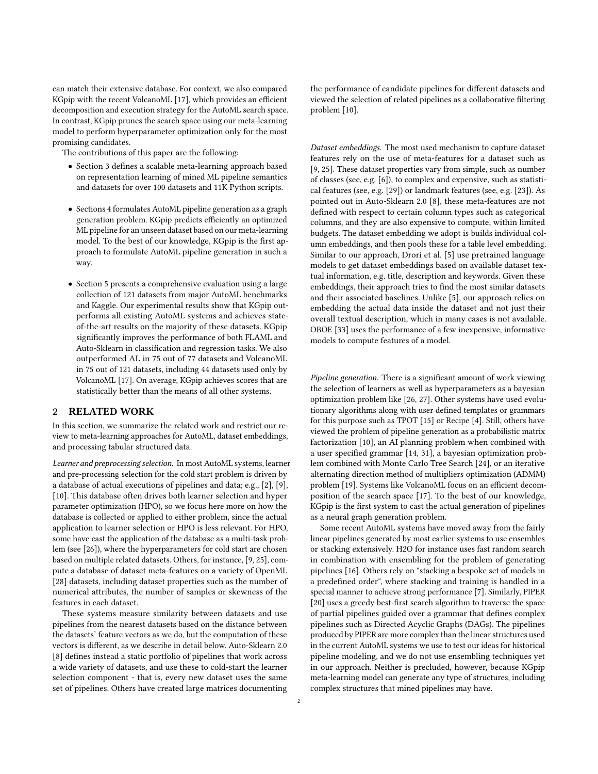can match their extensive database. For context, we also compared KGpip with the recent VolcanoML [\[17\]](#page-8-0), which provides an efficient decomposition and execution strategy for the AutoML search space. In contrast, KGpip prunes the search space using our meta-learning model to perform hyperparameter optimization only for the most promising candidates.

The contributions of this paper are the following:

- Section [3](#page-2-0) defines a scalable meta-learning approach based on representation learning of mined ML pipeline semantics and datasets for over 100 datasets and 11K Python scripts.
- Sections [4](#page-3-0) formulates AutoML pipeline generation as a graph generation problem. KGpip predicts efficiently an optimized ML pipeline for an unseen dataset based on our meta-learning model. To the best of our knowledge, KGpip is the first approach to formulate AutoML pipeline generation in such a way.
- Section [5](#page-4-0) presents a comprehensive evaluation using a large collection of 121 datasets from major AutoML benchmarks and Kaggle. Our experimental results show that KGpip outperforms all existing AutoML systems and achieves stateof-the-art results on the majority of these datasets. KGpip significantly improves the performance of both FLAML and Auto-Sklearn in classification and regression tasks. We also outperformed AL in 75 out of 77 datasets and VolcanoML in 75 out of 121 datasets, including 44 datasets used only by VolcanoML [\[17\]](#page-8-0). On average, KGpip achieves scores that are statistically better than the means of all other systems.

# 2 RELATED WORK

In this section, we summarize the related work and restrict our review to meta-learning approaches for AutoML, dataset embeddings, and processing tabular structured data.

Learner and preprocessing selection. In most AutoML systems, learner and pre-processing selection for the cold start problem is driven by a database of actual executions of pipelines and data; e.g., [\[2\]](#page-8-4), [\[9\]](#page-8-3), [\[10\]](#page-8-1). This database often drives both learner selection and hyper parameter optimization (HPO), so we focus here more on how the database is collected or applied to either problem, since the actual application to learner selection or HPO is less relevant. For HPO, some have cast the application of the database as a multi-task problem (see [\[26\]](#page-8-8)), where the hyperparameters for cold start are chosen based on multiple related datasets. Others, for instance, [\[9,](#page-8-3) [25\]](#page-8-9), compute a database of dataset meta-features on a variety of OpenML [\[28\]](#page-8-10) datasets, including dataset properties such as the number of numerical attributes, the number of samples or skewness of the features in each dataset.

These systems measure similarity between datasets and use pipelines from the nearest datasets based on the distance between the datasets' feature vectors as we do, but the computation of these vectors is different, as we describe in detail below. Auto-Sklearn 2.0 [\[8\]](#page-8-7) defines instead a static portfolio of pipelines that work across a wide variety of datasets, and use these to cold-start the learner selection component - that is, every new dataset uses the same set of pipelines. Others have created large matrices documenting the performance of candidate pipelines for different datasets and viewed the selection of related pipelines as a collaborative filtering problem [\[10\]](#page-8-1).

Dataset embeddings. The most used mechanism to capture dataset features rely on the use of meta-features for a dataset such as [\[9,](#page-8-3) [25\]](#page-8-9). These dataset properties vary from simple, such as number of classes (see, e.g. [\[6\]](#page-8-11)), to complex and expensive, such as statistical features (see, e.g. [\[29\]](#page-8-12)) or landmark features (see, e.g. [\[23\]](#page-8-13)). As pointed out in Auto-Sklearn 2.0 [\[8\]](#page-8-7), these meta-features are not defined with respect to certain column types such as categorical columns, and they are also expensive to compute, within limited budgets. The dataset embedding we adopt is builds individual column embeddings, and then pools these for a table level embedding. Similar to our approach, Drori et al. [\[5\]](#page-8-14) use pretrained language models to get dataset embeddings based on available dataset textual information, e.g. title, description and keywords. Given these embeddings, their approach tries to find the most similar datasets and their associated baselines. Unlike [\[5\]](#page-8-14), our approach relies on embedding the actual data inside the dataset and not just their overall textual description, which in many cases is not available. OBOE [\[33\]](#page-8-15) uses the performance of a few inexpensive, informative models to compute features of a model.

Pipeline generation. There is a significant amount of work viewing the selection of learners as well as hyperparameters as a bayesian optimization problem like [\[26,](#page-8-8) [27\]](#page-8-16). Other systems have used evolutionary algorithms along with user defined templates or grammars for this purpose such as TPOT [\[15\]](#page-8-17) or Recipe [\[4\]](#page-8-18). Still, others have viewed the problem of pipeline generation as a probabilistic matrix factorization [\[10\]](#page-8-1), an AI planning problem when combined with a user specified grammar [\[14,](#page-8-19) [31\]](#page-8-20), a bayesian optimization problem combined with Monte Carlo Tree Search [\[24\]](#page-8-21), or an iterative alternating direction method of multipliers optimization (ADMM) problem [\[19\]](#page-8-22). Systems like VolcanoML focus on an efficient decomposition of the search space [\[17\]](#page-8-0). To the best of our knowledge, KGpip is the first system to cast the actual generation of pipelines as a neural graph generation problem.

Some recent AutoML systems have moved away from the fairly linear pipelines generated by most earlier systems to use ensembles or stacking extensively. H2O for instance uses fast random search in combination with ensembling for the problem of generating pipelines [\[16\]](#page-8-23). Others rely on "stacking a bespoke set of models in a predefined order", where stacking and training is handled in a special manner to achieve strong performance [\[7\]](#page-8-24). Similarly, PIPER [\[20\]](#page-8-25) uses a greedy best-first search algorithm to traverse the space of partial pipelines guided over a grammar that defines complex pipelines such as Directed Acyclic Graphs (DAGs). The pipelines produced by PIPER are more complex than the linear structures used in the current AutoML systems we use to test our ideas for historical pipeline modeling, and we do not use ensembling techniques yet in our approach. Neither is precluded, however, because KGpip meta-learning model can generate any type of structures, including complex structures that mined pipelines may have.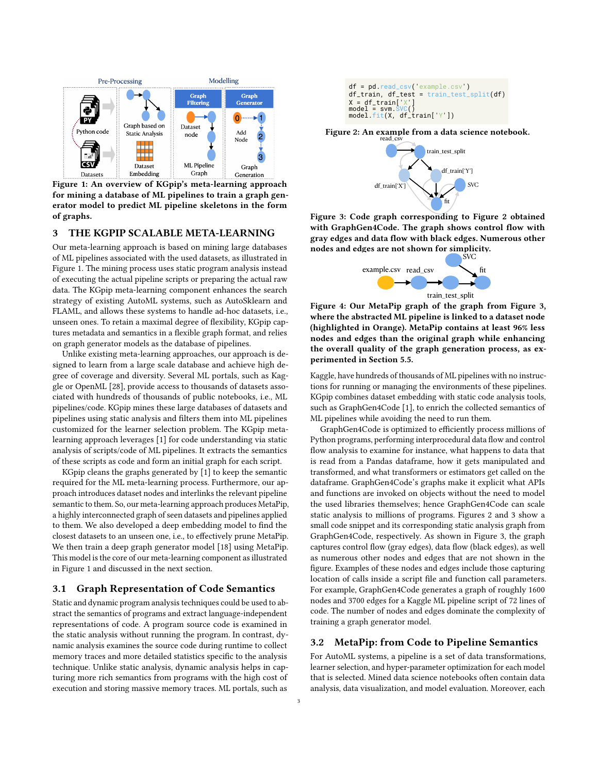<span id="page-2-1"></span>

Figure 1: An overview of KGpip's meta-learning approach for mining a database of ML pipelines to train a graph generator model to predict ML pipeline skeletons in the form of graphs.

#### <span id="page-2-0"></span>3 THE KGPIP SCALABLE META-LEARNING

Our meta-learning approach is based on mining large databases of ML pipelines associated with the used datasets, as illustrated in Figure [1.](#page-2-1) The mining process uses static program analysis instead of executing the actual pipeline scripts or preparing the actual raw data. The KGpip meta-learning component enhances the search strategy of existing AutoML systems, such as AutoSklearn and FLAML, and allows these systems to handle ad-hoc datasets, i.e., unseen ones. To retain a maximal degree of flexibility, KGpip captures metadata and semantics in a flexible graph format, and relies on graph generator models as the database of pipelines.

Unlike existing meta-learning approaches, our approach is designed to learn from a large scale database and achieve high degree of coverage and diversity. Several ML portals, such as Kaggle or OpenML [\[28\]](#page-8-10), provide access to thousands of datasets associated with hundreds of thousands of public notebooks, i.e., ML pipelines/code. KGpip mines these large databases of datasets and pipelines using static analysis and filters them into ML pipelines customized for the learner selection problem. The KGpip metalearning approach leverages [\[1\]](#page-8-5) for code understanding via static analysis of scripts/code of ML pipelines. It extracts the semantics of these scripts as code and form an initial graph for each script.

KGpip cleans the graphs generated by [\[1\]](#page-8-5) to keep the semantic required for the ML meta-learning process. Furthermore, our approach introduces dataset nodes and interlinks the relevant pipeline semantic to them. So, our meta-learning approach produces MetaPip, a highly interconnected graph of seen datasets and pipelines applied to them. We also developed a deep embedding model to find the closest datasets to an unseen one, i.e., to effectively prune MetaPip. We then train a deep graph generator model [\[18\]](#page-8-26) using MetaPip. This model is the core of our meta-learning component as illustrated in Figure [1](#page-2-1) and discussed in the next section.

## <span id="page-2-5"></span>3.1 Graph Representation of Code Semantics

Static and dynamic program analysis techniques could be used to abstract the semantics of programs and extract language-independent representations of code. A program source code is examined in the static analysis without running the program. In contrast, dynamic analysis examines the source code during runtime to collect memory traces and more detailed statistics specific to the analysis technique. Unlike static analysis, dynamic analysis helps in capturing more rich semantics from programs with the high cost of

```
 df_train, df_test = train_test_split(df)
X = df_{\text{train}}['X]model = swm.
model.fit(X, df_timein['Y'])
```
<span id="page-2-3"></span>Figure 2: An example from a data science notebook.



<span id="page-2-4"></span>Figure 3: Code graph corresponding to Figure [2](#page-2-2) obtained with GraphGen4Code. The graph shows control flow with gray edges and data flow with black edges. Numerous other nodes and edges are not shown for simplicity.



Figure 4: Our MetaPip graph of the graph from Figure [3,](#page-2-3) where the abstracted ML pipeline is linked to a dataset node (highlighted in Orange). MetaPip contains at least 96% less nodes and edges than the original graph while enhancing the overall quality of the graph generation process, as experimented in Section [5.5.](#page-6-0)

Kaggle, have hundreds of thousands of ML pipelines with no instructions for running or managing the environments of these pipelines. KGpip combines dataset embedding with static code analysis tools, such as GraphGen4Code [\[1\]](#page-8-5), to enrich the collected semantics of ML pipelines while avoiding the need to run them.

**Example.** The mass procedure of the storing mass in the state of the state of the state of the state of the state of the state of the state of the state of the state of the state of the state of the state of the state of GraphGen4Code is optimized to efficiently process millions of Python programs, performing interprocedural data flow and control flow analysis to examine for instance, what happens to data that is read from a Pandas dataframe, how it gets manipulated and transformed, and what transformers or estimators get called on the dataframe. GraphGen4Code's graphs make it explicit what APIs and functions are invoked on objects without the need to model the used libraries themselves; hence GraphGen4Code can scale static analysis to millions of programs. Figures [2](#page-2-2) and [3](#page-2-3) show a small code snippet and its corresponding static analysis graph from GraphGen4Code, respectively. As shown in Figure [3,](#page-2-3) the graph captures control flow (gray edges), data flow (black edges), as well as numerous other nodes and edges that are not shown in the figure. Examples of these nodes and edges include those capturing location of calls inside a script file and function call parameters. For example, GraphGen4Code generates a graph of roughly 1600 nodes and 3700 edges for a Kaggle ML pipeline script of 72 lines of code. The number of nodes and edges dominate the complexity of training a graph generator model.

#### <span id="page-2-6"></span>3.2 MetaPip: from Code to Pipeline Semantics

For AutoML systems, a pipeline is a set of data transformations, learner selection, and hyper-parameter optimization for each model that is selected. Mined data science notebooks often contain data analysis, data visualization, and model evaluation. Moreover, each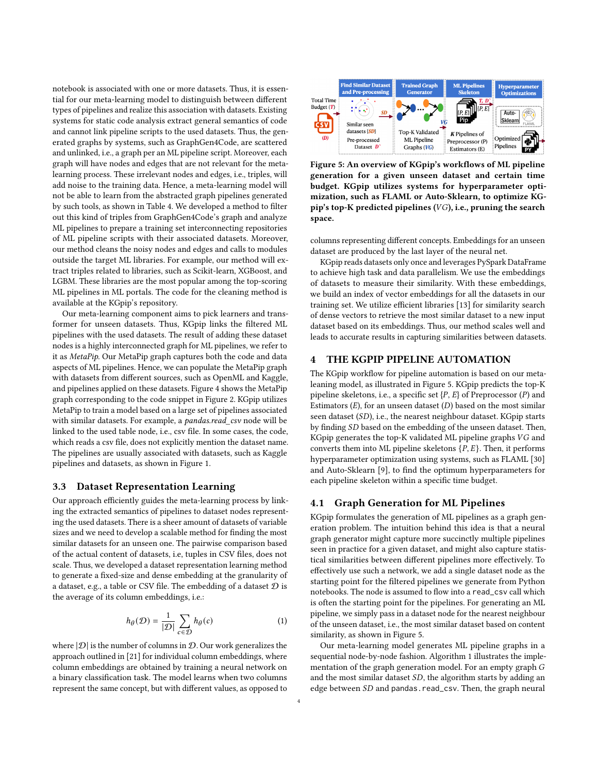notebook is associated with one or more datasets. Thus, it is essential for our meta-learning model to distinguish between different types of pipelines and realize this association with datasets. Existing systems for static code analysis extract general semantics of code and cannot link pipeline scripts to the used datasets. Thus, the generated graphs by systems, such as GraphGen4Code, are scattered and unlinked, i.e., a graph per an ML pipeline script. Moreover, each graph will have nodes and edges that are not relevant for the metalearning process. These irrelevant nodes and edges, i.e., triples, will add noise to the training data. Hence, a meta-learning model will not be able to learn from the abstracted graph pipelines generated by such tools, as shown in Table [4.](#page-6-1) We developed a method to filter out this kind of triples from GraphGen4Code's graph and analyze ML pipelines to prepare a training set interconnecting repositories of ML pipeline scripts with their associated datasets. Moreover, our method cleans the noisy nodes and edges and calls to modules outside the target ML libraries. For example, our method will extract triples related to libraries, such as Scikit-learn, XGBoost, and LGBM. These libraries are the most popular among the top-scoring ML pipelines in ML portals. The code for the cleaning method is available at the KGpip's repository.

Our meta-learning component aims to pick learners and transformer for unseen datasets. Thus, KGpip links the filtered ML pipelines with the used datasets. The result of adding these dataset nodes is a highly interconnected graph for ML pipelines, we refer to it as MetaPip. Our MetaPip graph captures both the code and data aspects of ML pipelines. Hence, we can populate the MetaPip graph with datasets from different sources, such as OpenML and Kaggle, and pipelines applied on these datasets. Figure [4](#page-2-4) shows the MetaPip graph corresponding to the code snippet in Figure [2.](#page-2-2) KGpip utilizes MetaPip to train a model based on a large set of pipelines associated with similar datasets. For example, a pandas.read csv node will be linked to the used table node, i.e., csv file. In some cases, the code, which reads a csv file, does not explicitly mention the dataset name. The pipelines are usually associated with datasets, such as Kaggle pipelines and datasets, as shown in Figure [1.](#page-2-1)

#### 3.3 Dataset Representation Learning

Our approach efficiently guides the meta-learning process by linking the extracted semantics of pipelines to dataset nodes representing the used datasets. There is a sheer amount of datasets of variable sizes and we need to develop a scalable method for finding the most similar datasets for an unseen one. The pairwise comparison based of the actual content of datasets, i.e, tuples in CSV files, does not scale. Thus, we developed a dataset representation learning method to generate a fixed-size and dense embedding at the granularity of a dataset, e.g., a table or CSV file. The embedding of a dataset  $D$  is the average of its column embeddings, i.e.:

$$
h_{\theta}(\mathcal{D}) = \frac{1}{|\mathcal{D}|} \sum_{c \in \mathcal{D}} h_{\theta}(c) \tag{1}
$$

where  $|\mathcal{D}|$  is the number of columns in  $\mathcal{D}$ . Our work generalizes the approach outlined in [\[21\]](#page-8-27) for individual column embeddings, where column embeddings are obtained by training a neural network on a binary classification task. The model learns when two columns represent the same concept, but with different values, as opposed to

<span id="page-3-1"></span>

Figure 5: An overview of KGpip's workflows of ML pipeline generation for a given unseen dataset and certain time budget. KGpip utilizes systems for hyperparameter optimization, such as FLAML or Auto-Sklearn, to optimize KGpip's top-K predicted pipelines  $(VG)$ , i.e., pruning the search space.

columns representing different concepts. Embeddings for an unseen dataset are produced by the last layer of the neural net.

KGpip reads datasets only once and leverages PySpark DataFrame to achieve high task and data parallelism. We use the embeddings of datasets to measure their similarity. With these embeddings, we build an index of vector embeddings for all the datasets in our training set. We utilize efficient libraries [\[13\]](#page-8-28) for similarity search of dense vectors to retrieve the most similar dataset to a new input dataset based on its embeddings. Thus, our method scales well and leads to accurate results in capturing similarities between datasets.

# <span id="page-3-0"></span>4 THE KGPIP PIPELINE AUTOMATION

The KGpip workflow for pipeline automation is based on our metaleaning model, as illustrated in Figure [5.](#page-3-1) KGpip predicts the top-K pipeline skeletons, i.e., a specific set  $\{P, E\}$  of Preprocessor (P) and Estimators  $(E)$ , for an unseen dataset  $(D)$  based on the most similar seen dataset  $(SD)$ , i.e., the nearest neighbour dataset. KGpip starts by finding SD based on the embedding of the unseen dataset. Then, KGpip generates the top-K validated ML pipeline graphs  $VG$  and converts them into ML pipeline skeletons  $\{P, E\}$ . Then, it performs hyperparameter optimization using systems, such as FLAML [\[30\]](#page-8-6) and Auto-Sklearn [\[9\]](#page-8-3), to find the optimum hyperparameters for each pipeline skeleton within a specific time budget.

## 4.1 Graph Generation for ML Pipelines

KGpip formulates the generation of ML pipelines as a graph generation problem. The intuition behind this idea is that a neural graph generator might capture more succinctly multiple pipelines seen in practice for a given dataset, and might also capture statistical similarities between different pipelines more effectively. To effectively use such a network, we add a single dataset node as the starting point for the filtered pipelines we generate from Python notebooks. The node is assumed to flow into a read\_csv call which is often the starting point for the pipelines. For generating an ML pipeline, we simply pass in a dataset node for the nearest neighbour of the unseen dataset, i.e., the most similar dataset based on content similarity, as shown in Figure [5.](#page-3-1)

Our meta-learning model generates ML pipeline graphs in a sequential node-by-node fashion. Algorithm [1](#page-4-1) illustrates the implementation of the graph generation model. For an empty graph G and the most similar dataset  $SD$ , the algorithm starts by adding an edge between  $SD$  and pandas.read\_csv. Then, the graph neural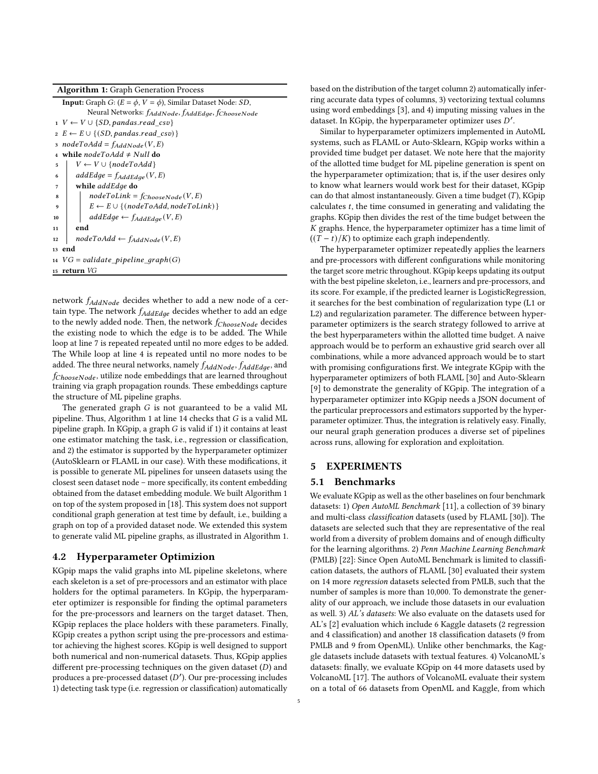Algorithm 1: Graph Generation Process

<span id="page-4-1"></span>

| <b>Input:</b> Graph G: $(E = \phi, V = \phi)$ , Similar Dataset Node: SD, |
|---------------------------------------------------------------------------|
| Neural Networks: fAddNode, fAddEdge, fChooseNode                          |
| $1 \, V \leftarrow V \cup \{SD, pandas.read \, csv\}$                     |
| $E \leftarrow E \cup \{ (SD, pandas.read \ csv) \}$                       |
| $nodeToAdd = f_{AddNode}(V, E)$<br>$\overline{\mathbf{3}}$                |
| while node $ToAdd \neq Null$ do                                           |
| $V \leftarrow V \cup \{nodeToAdd\}$<br>5                                  |
| $addEdge = f_{AddEdge}(V, E)$<br>6                                        |
| while addEdge do<br>7                                                     |
| $nodeToLink = f_{ChooseNode}(V, E)$<br>8                                  |
| $E \leftarrow E \cup \{ (nodeToAdd, nodeToLink) \}$<br>9                  |
| $addEdge \leftarrow f_{AddEdge}(V, E)$<br>10                              |
| end<br>11                                                                 |
| $nodeToAdd \leftarrow f_{AddNode}(V, E)$<br>12                            |
| 13 end                                                                    |
| 14 $VG = validate\_pipeline\_graph(G)$                                    |
| return VG<br>15                                                           |
|                                                                           |

network  $f_{AddNode}$  decides whether to add a new node of a certain type. The network  $f_{AddEdge}$  decides whether to add an edge to the newly added node. Then, the network  $f_{ChooseNode}$  decides the existing node to which the edge is to be added. The While loop at line 7 is repeated repeated until no more edges to be added. The While loop at line 4 is repeated until no more nodes to be added. The three neural networks, namely  $f_{AddNode}$ ,  $f_{AddEdge}$ , and  $f_{ChooseNode}$ , utilize node embeddings that are learned throughout training via graph propagation rounds. These embeddings capture the structure of ML pipeline graphs.

The generated graph  $G$  is not guaranteed to be a valid ML pipeline. Thus, Algorithm [1](#page-4-1) at line 14 checks that  $G$  is a valid ML pipeline graph. In KGpip, a graph  $G$  is valid if 1) it contains at least one estimator matching the task, i.e., regression or classification, and 2) the estimator is supported by the hyperparameter optimizer (AutoSklearn or FLAML in our case). With these modifications, it is possible to generate ML pipelines for unseen datasets using the closest seen dataset node – more specifically, its content embedding obtained from the dataset embedding module. We built Algorithm [1](#page-4-1) on top of the system proposed in [\[18\]](#page-8-26). This system does not support conditional graph generation at test time by default, i.e., building a graph on top of a provided dataset node. We extended this system to generate valid ML pipeline graphs, as illustrated in Algorithm [1.](#page-4-1)

#### 4.2 Hyperparameter Optimizion

KGpip maps the valid graphs into ML pipeline skeletons, where each skeleton is a set of pre-processors and an estimator with place holders for the optimal parameters. In KGpip, the hyperparameter optimizer is responsible for finding the optimal parameters for the pre-processors and learners on the target dataset. Then, KGpip replaces the place holders with these parameters. Finally, KGpip creates a python script using the pre-processors and estimator achieving the highest scores. KGpip is well designed to support both numerical and non-numerical datasets. Thus, KGpip applies different pre-processing techniques on the given dataset  $(D)$  and produces a pre-processed dataset (D'). Our pre-processing includes 1) detecting task type (i.e. regression or classification) automatically

based on the distribution of the target column 2) automatically inferring accurate data types of columns, 3) vectorizing textual columns using word embeddings [\[3\]](#page-8-29), and 4) imputing missing values in the dataset. In KGpip, the hyperparameter optimizer uses D'.

Similar to hyperparameter optimizers implemented in AutoML systems, such as FLAML or Auto-Sklearn, KGpip works within a provided time budget per dataset. We note here that the majority of the allotted time budget for ML pipeline generation is spent on the hyperparameter optimization; that is, if the user desires only to know what learners would work best for their dataset, KGpip can do that almost instantaneously. Given a time budget  $(T)$ , KGpip calculates  $t$ , the time consumed in generating and validating the graphs. KGpip then divides the rest of the time budget between the  $K$  graphs. Hence, the hyperparameter optimizer has a time limit of  $((T - t)/K)$  to optimize each graph independently.

The hyperparameter optimizer repeatedly applies the learners and pre-processors with different configurations while monitoring the target score metric throughout. KGpip keeps updating its output with the best pipeline skeleton, i.e., learners and pre-processors, and its score. For example, if the predicted learner is LogisticRegression, it searches for the best combination of regularization type (L1 or L2) and regularization parameter. The difference between hyperparameter optimizers is the search strategy followed to arrive at the best hyperparameters within the allotted time budget. A naive approach would be to perform an exhaustive grid search over all combinations, while a more advanced approach would be to start with promising configurations first. We integrate KGpip with the hyperparameter optimizers of both FLAML [\[30\]](#page-8-6) and Auto-Sklearn [\[9\]](#page-8-3) to demonstrate the generality of KGpip. The integration of a hyperparameter optimizer into KGpip needs a JSON document of the particular preprocessors and estimators supported by the hyperparameter optimizer. Thus, the integration is relatively easy. Finally, our neural graph generation produces a diverse set of pipelines across runs, allowing for exploration and exploitation.

# <span id="page-4-0"></span>5 EXPERIMENTS

## 5.1 Benchmarks

We evaluate KGpip as well as the other baselines on four benchmark datasets: 1) Open AutoML Benchmark [\[11\]](#page-8-30), a collection of 39 binary and multi-class classification datasets (used by FLAML [\[30\]](#page-8-6)). The datasets are selected such that they are representative of the real world from a diversity of problem domains and of enough difficulty for the learning algorithms. 2) Penn Machine Learning Benchmark (PMLB) [\[22\]](#page-8-31): Since Open AutoML Benchmark is limited to classification datasets, the authors of FLAML [\[30\]](#page-8-6) evaluated their system on 14 more regression datasets selected from PMLB, such that the number of samples is more than 10,000. To demonstrate the generality of our approach, we include those datasets in our evaluation as well. 3) AL's datasets: We also evaluate on the datasets used for AL's [\[2\]](#page-8-4) evaluation which include 6 Kaggle datasets (2 regression and 4 classification) and another 18 classification datasets (9 from PMLB and 9 from OpenML). Unlike other benchmarks, the Kaggle datasets include datasets with textual features. 4) VolcanoML's datasets: finally, we evaluate KGpip on 44 more datasets used by VolcanoML [\[17\]](#page-8-0). The authors of VolcanoML evaluate their system on a total of 66 datasets from OpenML and Kaggle, from which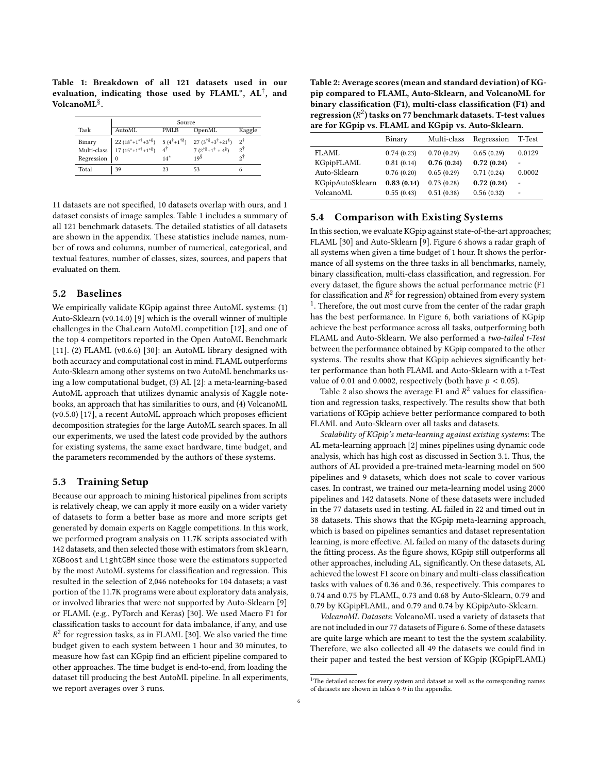<span id="page-5-0"></span>Table 1: Breakdown of all 121 datasets used in our evaluation, indicating those used by  ${\rm FLAML}^*,~{\rm AL}^\dagger,~{\rm and}$ VolcanoML<sup>§</sup>.

|            | Source                                                                                                                                                                                                                                                                                                                                                                           |       |                 |               |  |  |  |  |  |  |
|------------|----------------------------------------------------------------------------------------------------------------------------------------------------------------------------------------------------------------------------------------------------------------------------------------------------------------------------------------------------------------------------------|-------|-----------------|---------------|--|--|--|--|--|--|
| Task       | AutoML                                                                                                                                                                                                                                                                                                                                                                           | PMLB  | OpenML          | Kaggle        |  |  |  |  |  |  |
|            | $\begin{tabular}{l c c c c c} \hline Binary & $22 \ (18^*+1^{*\tilde{7}}+3^{*\tilde{8}}) $ & $5 \ (4^{\tilde{7}}+1^{\tilde{7}\tilde{8}}) $ & $27 \ (3^{\tilde{7}\tilde{8}}+3^{\tilde{7}}+21^{\tilde{8}})$ \\ Multi-class & $17 \ (15^*+1^{*\tilde{7}}+1^{*\tilde{8}}) $ & $4^{\tilde{7}} $ & $7 \ (2^{\tilde{7}\tilde{8}}+1^{\tilde{7}}+4^{\tilde{8}})$ \\ \hline \end{tabular}$ |       |                 | $2^{\dagger}$ |  |  |  |  |  |  |
|            |                                                                                                                                                                                                                                                                                                                                                                                  |       |                 | أج            |  |  |  |  |  |  |
| Regression | $\Omega$                                                                                                                                                                                                                                                                                                                                                                         | $14*$ | 19 <sup>§</sup> | οĩ            |  |  |  |  |  |  |
| Total      | 39                                                                                                                                                                                                                                                                                                                                                                               | 23    | 53              |               |  |  |  |  |  |  |

11 datasets are not specified, 10 datasets overlap with ours, and 1 dataset consists of image samples. [Table 1](#page-5-0) includes a summary of all 121 benchmark datasets. The detailed statistics of all datasets are shown in the appendix. These statistics include names, number of rows and columns, number of numerical, categorical, and textual features, number of classes, sizes, sources, and papers that evaluated on them.

#### 5.2 Baselines

We empirically validate KGpip against three AutoML systems: (1) Auto-Sklearn (v0.14.0) [\[9\]](#page-8-3) which is the overall winner of multiple challenges in the ChaLearn AutoML competition [\[12\]](#page-8-32), and one of the top 4 competitors reported in the Open AutoML Benchmark [\[11\]](#page-8-30). (2) FLAML (v0.6.6) [\[30\]](#page-8-6): an AutoML library designed with both accuracy and computational cost in mind. FLAML outperforms Auto-Sklearn among other systems on two AutoML benchmarks using a low computational budget, (3) AL [\[2\]](#page-8-4): a meta-learning-based AutoML approach that utilizes dynamic analysis of Kaggle notebooks, an approach that has similarities to ours, and (4) VolcanoML (v0.5.0) [\[17\]](#page-8-0), a recent AutoML approach which proposes efficient decomposition strategies for the large AutoML search spaces. In all our experiments, we used the latest code provided by the authors for existing systems, the same exact hardware, time budget, and the parameters recommended by the authors of these systems.

#### 5.3 Training Setup

Because our approach to mining historical pipelines from scripts is relatively cheap, we can apply it more easily on a wider variety of datasets to form a better base as more and more scripts get generated by domain experts on Kaggle competitions. In this work, we performed program analysis on 11.7K scripts associated with 142 datasets, and then selected those with estimators from sklearn, XGBoost and LightGBM since those were the estimators supported by the most AutoML systems for classification and regression. This resulted in the selection of 2,046 notebooks for 104 datasets; a vast portion of the 11.7K programs were about exploratory data analysis, or involved libraries that were not supported by Auto-Sklearn [\[9\]](#page-8-3) or FLAML (e.g., PyTorch and Keras) [\[30\]](#page-8-6). We used Macro F1 for classification tasks to account for data imbalance, if any, and use  $R^2$  for regression tasks, as in FLAML [\[30\]](#page-8-6). We also varied the time budget given to each system between 1 hour and 30 minutes, to measure how fast can KGpip find an efficient pipeline compared to other approaches. The time budget is end-to-end, from loading the dataset till producing the best AutoML pipeline. In all experiments, we report averages over 3 runs.

<span id="page-5-2"></span>Table 2: Average scores (mean and standard deviation) of KGpip compared to FLAML, Auto-Sklearn, and VolcanoML for binary classification (F1), multi-class classification (F1) and regression ( $R^2$ ) tasks on 77 benchmark datasets. T-test values are for KGpip vs. FLAML and KGpip vs. Auto-Sklearn.

|                  | Binary     | Multi-class | Regression | T-Test |
|------------------|------------|-------------|------------|--------|
| FLAML            | 0.74(0.23) | 0.70(0.29)  | 0.65(0.29) | 0.0129 |
| KGpipFLAML       | 0.81(0.14) | 0.76(0.24)  | 0.72(0.24) |        |
| Auto-Sklearn     | 0.76(0.20) | 0.65(0.29)  | 0.71(0.24) | 0.0002 |
| KGpipAutoSklearn | 0.83(0.14) | 0.73(0.28)  | 0.72(0.24) |        |
| VolcanoML        | 0.55(0.43) | 0.51(0.38)  | 0.56(0.32) |        |

#### <span id="page-5-3"></span>5.4 Comparison with Existing Systems

In this section, we evaluate KGpip against state-of-the-art approaches; FLAML [\[30\]](#page-8-6) and Auto-Sklearn [\[9\]](#page-8-3). Figure [6](#page-6-2) shows a radar graph of all systems when given a time budget of 1 hour. It shows the performance of all systems on the three tasks in all benchmarks, namely, binary classification, multi-class classification, and regression. For every dataset, the figure shows the actual performance metric (F1 for classification and  $R^2$  for regression) obtained from every system <sup>[1](#page-5-1)</sup>. Therefore, the out most curve from the center of the radar graph has the best performance. In Figure [6,](#page-6-2) both variations of KGpip achieve the best performance across all tasks, outperforming both FLAML and Auto-Sklearn. We also performed a two-tailed t-Test between the performance obtained by KGpip compared to the other systems. The results show that KGpip achieves significantly better performance than both FLAML and Auto-Sklearn with a t-Test value of 0.01 and 0.0002, respectively (both have  $p < 0.05$ ).

Table [2](#page-5-2) also shows the average F1 and  $R^2$  values for classification and regression tasks, respectively. The results show that both variations of KGpip achieve better performance compared to both FLAML and Auto-Sklearn over all tasks and datasets.

Scalability of KGpip's meta-learning against existing systems: The AL meta-learning approach [\[2\]](#page-8-4) mines pipelines using dynamic code analysis, which has high cost as discussed in Section [3.1.](#page-2-5) Thus, the authors of AL provided a pre-trained meta-learning model on 500 pipelines and 9 datasets, which does not scale to cover various cases. In contrast, we trained our meta-learning model using 2000 pipelines and 142 datasets. None of these datasets were included in the 77 datasets used in testing. AL failed in 22 and timed out in 38 datasets. This shows that the KGpip meta-learning approach, which is based on pipelines semantics and dataset representation learning, is more effective. AL failed on many of the datasets during the fitting process. As the figure shows, KGpip still outperforms all other approaches, including AL, significantly. On these datasets, AL achieved the lowest F1 score on binary and multi-class classification tasks with values of 0.36 and 0.36, respectively. This compares to 0.74 and 0.75 by FLAML, 0.73 and 0.68 by Auto-Sklearn, 0.79 and 0.79 by KGpipFLAML, and 0.79 and 0.74 by KGpipAuto-Sklearn.

VolcanoML Datasets: VolcanoML used a variety of datasets that are not included in our 77 datasets of [Figure 6.](#page-6-2) Some of these datasets are quite large which are meant to test the the system scalability. Therefore, we also collected all 49 the datasets we could find in their paper and tested the best version of KGpip (KGpipFLAML)

<span id="page-5-1"></span> $1$ The detailed scores for every system and dataset as well as the corresponding names of datasets are shown in tables [6-](#page-10-0)[9](#page-13-0) in the appendix.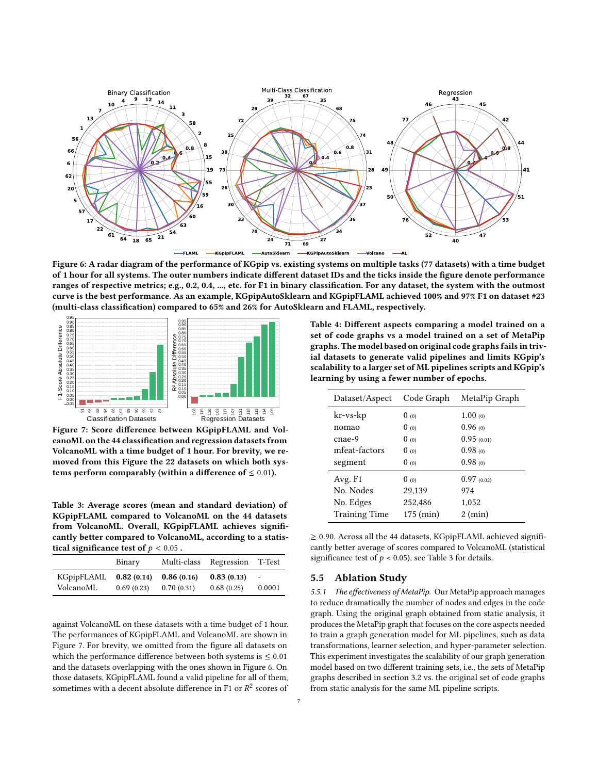<span id="page-6-2"></span>

Figure 6: A radar diagram of the performance of KGpip vs. existing systems on multiple tasks (77 datasets) with a time budget of 1 hour for all systems. The outer numbers indicate different dataset IDs and the ticks inside the figure denote performance ranges of respective metrics; e.g., 0.2, 0.4, ..., etc. for F1 in binary classification. For any dataset, the system with the outmost curve is the best performance. As an example, KGpipAutoSklearn and KGpipFLAML achieved 100% and 97% F1 on dataset #23 (multi-class classification) compared to 65% and 26% for AutoSklearn and FLAML, respectively.

<span id="page-6-3"></span>

Figure 7: Score difference between KGpipFLAML and VolcanoML on the 44 classification and regression datasets from VolcanoML with a time budget of 1 hour. For brevity, we removed from this Figure the 22 datasets on which both systems perform comparably (within a difference of  $\leq 0.01$ ).

<span id="page-6-4"></span>Table 3: Average scores (mean and standard deviation) of KGpipFLAML compared to VolcanoML on the 44 datasets from VolcanoML. Overall, KGpipFLAML achieves significantly better compared to VolcanoML, according to a statistical significance test of  $p < 0.05$ .

|            | Binary     | Multi-class | Regression | T-Test |
|------------|------------|-------------|------------|--------|
| KGpipFLAML | 0.82(0.14) | 0.86(0.16)  | 0.83(0.13) | $\sim$ |
| VolcanoML  | 0.69(0.23) | 0.70(0.31)  | 0.68(0.25) | 0.0001 |

against VolcanoML on these datasets with a time budget of 1 hour. The performances of KGpipFLAML and VolcanoML are shown in Figure [7.](#page-6-3) For brevity, we omitted from the figure all datasets on which the performance difference between both systems is  $\leq 0.01$ and the datasets overlapping with the ones shown in Figure [6.](#page-6-2) On those datasets, KGpipFLAML found a valid pipeline for all of them, sometimes with a decent absolute difference in F1 or  $R^2$  scores of

<span id="page-6-1"></span>Table 4: Different aspects comparing a model trained on a set of code graphs vs a model trained on a set of MetaPip graphs. The model based on original code graphs fails in trivial datasets to generate valid pipelines and limits KGpip's scalability to a larger set of ML pipelines scripts and KGpip's learning by using a fewer number of epochs.

| Dataset/Aspect       | Code Graph | MetaPip Graph     |
|----------------------|------------|-------------------|
| kr-vs-kp             | 0(0)       | $1.00 \omega$     |
| nomao                | 0(0)       | 0.96(0)           |
| cnae-9               | 0(0)       | 0.95(0.01)        |
| mfeat-factors        | 0(0)       | 0.98(0)           |
| segment              | 0(0)       | 0.98(0)           |
| Avg. F1              | 0(0)       | 0.97(0.02)        |
| No. Nodes            | 29,139     | 974               |
| No. Edges            | 252,486    | 1,052             |
| <b>Training Time</b> | 175 (min)  | $2 \text{ (min)}$ |

≥ 0.90. Across all the 44 datasets, KGpipFLAML achieved significantly better average of scores compared to VolcanoML (statistical significance test of  $p < 0.05$ ), see Table [3](#page-6-4) for details.

#### <span id="page-6-0"></span>5.5 Ablation Study

5.5.1 The effectiveness of MetaPip. Our MetaPip approach manages to reduce dramatically the number of nodes and edges in the code graph. Using the original graph obtained from static analysis, it produces the MetaPip graph that focuses on the core aspects needed to train a graph generation model for ML pipelines, such as data transformations, learner selection, and hyper-parameter selection. This experiment investigates the scalability of our graph generation model based on two different training sets, i.e., the sets of MetaPip graphs described in section [3.2](#page-2-6) vs. the original set of code graphs from static analysis for the same ML pipeline scripts.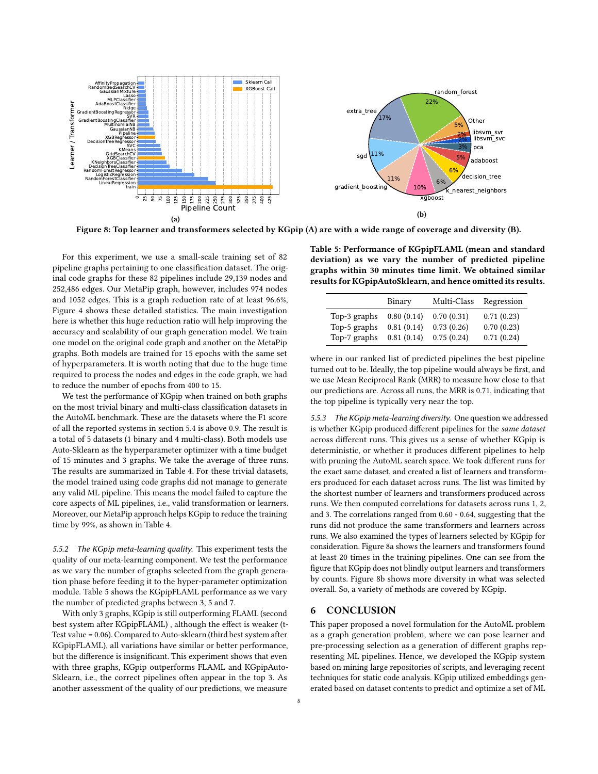<span id="page-7-1"></span>

Figure 8: Top learner and transformers selected by KGpip (A) are with a wide range of coverage and diversity (B).

For this experiment, we use a small-scale training set of 82 pipeline graphs pertaining to one classification dataset. The original code graphs for these 82 pipelines include 29,139 nodes and 252,486 edges. Our MetaPip graph, however, includes 974 nodes and 1052 edges. This is a graph reduction rate of at least 96.6%, Figure [4](#page-6-1) shows these detailed statistics. The main investigation here is whether this huge reduction ratio will help improving the accuracy and scalability of our graph generation model. We train one model on the original code graph and another on the MetaPip graphs. Both models are trained for 15 epochs with the same set of hyperparameters. It is worth noting that due to the huge time required to process the nodes and edges in the code graph, we had to reduce the number of epochs from 400 to 15.

We test the performance of KGpip when trained on both graphs on the most trivial binary and multi-class classification datasets in the AutoML benchmark. These are the datasets where the F1 score of all the reported systems in section [5.4](#page-5-3) is above 0.9. The result is a total of 5 datasets (1 binary and 4 multi-class). Both models use Auto-Sklearn as the hyperparameter optimizer with a time budget of 15 minutes and 3 graphs. We take the average of three runs. The results are summarized in Table [4.](#page-6-1) For these trivial datasets, the model trained using code graphs did not manage to generate any valid ML pipeline. This means the model failed to capture the core aspects of ML pipelines, i.e., valid transformation or learners. Moreover, our MetaPip approach helps KGpip to reduce the training time by 99%, as shown in Table [4.](#page-6-1)

5.5.2 The KGpip meta-learning quality. This experiment tests the quality of our meta-learning component. We test the performance as we vary the number of graphs selected from the graph generation phase before feeding it to the hyper-parameter optimization module. Table [5](#page-7-0) shows the KGpipFLAML performance as we vary the number of predicted graphs between 3, 5 and 7.

With only 3 graphs, KGpip is still outperforming FLAML (second best system after KGpipFLAML) , although the effect is weaker (t-Test value = 0.06). Compared to Auto-sklearn (third best system after KGpipFLAML), all variations have similar or better performance, but the difference is insignificant. This experiment shows that even with three graphs, KGpip outperforms FLAML and KGpipAuto-Sklearn, i.e., the correct pipelines often appear in the top 3. As another assessment of the quality of our predictions, we measure

<span id="page-7-0"></span>Table 5: Performance of KGpipFLAML (mean and standard deviation) as we vary the number of predicted pipeline graphs within 30 minutes time limit. We obtained similar results for KGpipAutoSklearn, and hence omitted its results.

|                              | Binary                   | Multi-Class              | Regression               |
|------------------------------|--------------------------|--------------------------|--------------------------|
| Top-3 graphs<br>Top-5 graphs | 0.80(0.14)<br>0.81(0.14) | 0.70(0.31)<br>0.73(0.26) | 0.71(0.23)<br>0.70(0.23) |
| Top-7 graphs                 | 0.81(0.14)               | 0.75(0.24)               | 0.71(0.24)               |

where in our ranked list of predicted pipelines the best pipeline turned out to be. Ideally, the top pipeline would always be first, and we use Mean Reciprocal Rank (MRR) to measure how close to that our predictions are. Across all runs, the MRR is 0.71, indicating that the top pipeline is typically very near the top.

5.5.3 The KGpip meta-learning diversity. One question we addressed is whether KGpip produced different pipelines for the same dataset across different runs. This gives us a sense of whether KGpip is deterministic, or whether it produces different pipelines to help with pruning the AutoML search space. We took different runs for the exact same dataset, and created a list of learners and transformers produced for each dataset across runs. The list was limited by the shortest number of learners and transformers produced across runs. We then computed correlations for datasets across runs 1, 2, and 3. The correlations ranged from 0.60 - 0.64, suggesting that the runs did not produce the same transformers and learners across runs. We also examined the types of learners selected by KGpip for consideration. Figure [8a](#page-7-1) shows the learners and transformers found at least 20 times in the training pipelines. One can see from the figure that KGpip does not blindly output learners and transformers by counts. Figure [8b](#page-7-1) shows more diversity in what was selected overall. So, a variety of methods are covered by KGpip.

#### 6 CONCLUSION

This paper proposed a novel formulation for the AutoML problem as a graph generation problem, where we can pose learner and pre-processing selection as a generation of different graphs representing ML pipelines. Hence, we developed the KGpip system based on mining large repositories of scripts, and leveraging recent techniques for static code analysis. KGpip utilized embeddings generated based on dataset contents to predict and optimize a set of ML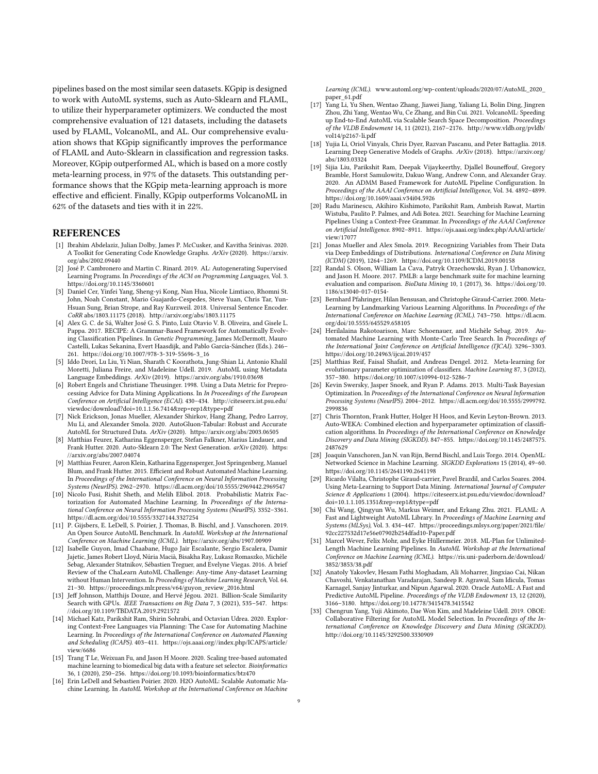pipelines based on the most similar seen datasets. KGpip is designed to work with AutoML systems, such as Auto-Sklearn and FLAML, to utilize their hyperparameter optimizers. We conducted the most comprehensive evaluation of 121 datasets, including the datasets used by FLAML, VolcanoML, and AL. Our comprehensive evaluation shows that KGpip significantly improves the performance of FLAML and Auto-Sklearn in classification and regression tasks. Moreover, KGpip outperformed AL, which is based on a more costly meta-learning process, in 97% of the datasets. This outstanding performance shows that the KGpip meta-learning approach is more effective and efficient. Finally, KGpip outperforms VolcanoML in 62% of the datasets and ties with it in 22%.

#### REFERENCES

- <span id="page-8-5"></span>[1] Ibrahim Abdelaziz, Julian Dolby, James P. McCusker, and Kavitha Srinivas. 2020. A Toolkit for Generating Code Knowledge Graphs. ArXiv (2020). [https://arxiv.](https://arxiv.org/abs/2002.09440) [org/abs/2002.09440](https://arxiv.org/abs/2002.09440)
- <span id="page-8-4"></span>[2] José P. Cambronero and Martin C. Rinard. 2019. AL: Autogenerating Supervised Learning Programs. In Proceedings of the ACM on Programming Languages, Vol. 3. <https://doi.org/10.1145/3360601>
- <span id="page-8-29"></span>[3] Daniel Cer, Yinfei Yang, Sheng-yi Kong, Nan Hua, Nicole Limtiaco, Rhomni St. John, Noah Constant, Mario Guajardo-Cespedes, Steve Yuan, Chris Tar, Yun-Hsuan Sung, Brian Strope, and Ray Kurzweil. 2018. Universal Sentence Encoder. CoRR abs/1803.11175 (2018).<http://arxiv.org/abs/1803.11175>
- <span id="page-8-18"></span>[4] Alex G. C. de Sá, Walter José G. S. Pinto, Luiz Otavio V. B. Oliveira, and Gisele L. Pappa. 2017. RECIPE: A Grammar-Based Framework for Automatically Evolving Classification Pipelines. In Genetic Programming, James McDermott, Mauro Castelli, Lukas Sekanina, Evert Haasdijk, and Pablo García-Sánchez (Eds.). 246– 261. [https://doi.org/10.1007/978-3-319-55696-3\\_16](https://doi.org/10.1007/978-3-319-55696-3_16)
- <span id="page-8-14"></span>[5] Iddo Drori, Lu Liu, Yi Nian, Sharath C Koorathota, Jung-Shian Li, Antonio Khalil Moretti, Juliana Freire, and Madeleine Udell. 2019. AutoML using Metadata Language Embeddings. ArXiv (2019).<https://arxiv.org/abs/1910.03698>
- <span id="page-8-11"></span>[6] Robert Engels and Christiane Theusinger. 1998. Using a Data Metric for Preprocessing Advice for Data Mining Applications. In In Proceedings of the European Conference on Artificial Intelligence (ECAI). 430–434. [http://citeseerx.ist.psu.edu/](http://citeseerx.ist.psu.edu/viewdoc/download?doi=10.1.1.56.7414&rep=rep1&type=pdf) [viewdoc/download?doi=10.1.1.56.7414&rep=rep1&type=pdf](http://citeseerx.ist.psu.edu/viewdoc/download?doi=10.1.1.56.7414&rep=rep1&type=pdf)
- <span id="page-8-24"></span>[7] Nick Erickson, Jonas Mueller, Alexander Shirkov, Hang Zhang, Pedro Larroy, Mu Li, and Alexander Smola. 2020. AutoGluon-Tabular: Robust and Accurate AutoML for Structured Data. ArXiv (2020).<https://arxiv.org/abs/2003.06505>
- <span id="page-8-7"></span>[8] Matthias Feurer, Katharina Eggensperger, Stefan Falkner, Marius Lindauer, and Frank Hutter. 2020. Auto-Sklearn 2.0: The Next Generation. arXiv (2020). [https:](https://arxiv.org/abs/2007.04074) [//arxiv.org/abs/2007.04074](https://arxiv.org/abs/2007.04074)
- <span id="page-8-3"></span>[9] Matthias Feurer, Aaron Klein, Katharina Eggensperger, Jost Springenberg, Manuel Blum, and Frank Hutter. 2015. Efficient and Robust Automated Machine Learning. In Proceedings of the International Conference on Neural Information Processing Systems (NeurIPS). 2962–2970.<https://dl.acm.org/doi/10.5555/2969442.2969547>
- <span id="page-8-1"></span>[10] Nicolo Fusi, Rishit Sheth, and Melih Elibol. 2018. Probabilistic Matrix Factorization for Automated Machine Learning. In Proceedings of the International Conference on Neural Information Processing Systems (NeurIPS). 3352–3361. <https://dl.acm.org/doi/10.5555/3327144.3327254>
- <span id="page-8-30"></span>[11] P. Gijsbers, E. LeDell, S. Poirier, J. Thomas, B. Bischl, and J. Vanschoren. 2019. An Open Source AutoML Benchmark. In AutoML Workshop at the International Conference on Machine Learning (ICML).<https://arxiv.org/abs/1907.00909>
- <span id="page-8-32"></span>[12] Isabelle Guyon, Imad Chaabane, Hugo Jair Escalante, Sergio Escalera, Damir Jajetic, James Robert Lloyd, Núria Macià, Bisakha Ray, Lukasz Romaszko, Michèle Sebag, Alexander Statnikov, Sébastien Treguer, and Evelyne Viegas. 2016. A brief Review of the ChaLearn AutoML Challenge: Any-time Any-dataset Learning without Human Intervention. In Proceedings of Machine Learning Research, Vol. 64. 21–30. [https://proceedings.mlr.press/v64/guyon\\_review\\_2016.html](https://proceedings.mlr.press/v64/guyon_review_2016.html)
- <span id="page-8-28"></span>[13] Jeff Johnson, Matthijs Douze, and Hervé Jégou. 2021. Billion-Scale Similarity Search with GPUs. IEEE Transactions on Big Data 7, 3 (2021), 535-547. [https:](https://doi.org/10.1109/TBDATA.2019.2921572) [//doi.org/10.1109/TBDATA.2019.2921572](https://doi.org/10.1109/TBDATA.2019.2921572)
- <span id="page-8-19"></span>[14] Michael Katz, Parikshit Ram, Shirin Sohrabi, and Octavian Udrea. 2020. Exploring Context-Free Languages via Planning: The Case for Automating Machine Learning. In Proceedings of the International Conference on Automated Planning and Scheduling (ICAPS). 403–411. [https://ojs.aaai.org//index.php/ICAPS/article/](https://ojs.aaai.org//index.php/ICAPS/article/view/6686) [view/6686](https://ojs.aaai.org//index.php/ICAPS/article/view/6686)
- <span id="page-8-17"></span>[15] Trang T Le, Weixuan Fu, and Jason H Moore. 2020. Scaling tree-based automated machine learning to biomedical big data with a feature set selector. Bioinformatics 36, 1 (2020), 250–256.<https://doi.org/10.1093/bioinformatics/btz470>
- <span id="page-8-23"></span>[16] Erin LeDell and Sebastien Poirier. 2020. H2O AutoML: Scalable Automatic Machine Learning. In AutoML Workshop at the International Conference on Machine

Learning (ICML). [www.automl.org/wp-content/uploads/2020/07/AutoML\\_2020\\_](www.automl.org/wp-content/uploads/2020/07/AutoML_2020_paper_61.pdf) [paper\\_61.pdf](www.automl.org/wp-content/uploads/2020/07/AutoML_2020_paper_61.pdf)

- <span id="page-8-0"></span>[17] Yang Li, Yu Shen, Wentao Zhang, Jiawei Jiang, Yaliang Li, Bolin Ding, Jingren Zhou, Zhi Yang, Wentao Wu, Ce Zhang, and Bin Cui. 2021. VolcanoML: Speeding up End-to-End AutoML via Scalable Search Space Decomposition. Proceedings of the VLDB Endowment 14, 11 (2021), 2167-2176. [http://www.vldb.org/pvldb/](http://www.vldb.org/pvldb/vol14/p2167-li.pdf) [vol14/p2167-li.pdf](http://www.vldb.org/pvldb/vol14/p2167-li.pdf)
- <span id="page-8-26"></span>[18] Yujia Li, Oriol Vinyals, Chris Dyer, Razvan Pascanu, and Peter Battaglia. 2018. Learning Deep Generative Models of Graphs. ArXiv (2018). [https://arxiv.org/](https://arxiv.org/abs/1803.03324) [abs/1803.03324](https://arxiv.org/abs/1803.03324)
- <span id="page-8-22"></span>[19] Sijia Liu, Parikshit Ram, Deepak Vijaykeerthy, Djallel Bouneffouf, Gregory Bramble, Horst Samulowitz, Dakuo Wang, Andrew Conn, and Alexander Gray. 2020. An ADMM Based Framework for AutoML Pipeline Configuration. In Proceedings of the AAAI Conference on Artificial Intelligence, Vol. 34. 4892–4899. <https://doi.org/10.1609/aaai.v34i04.5926>
- <span id="page-8-25"></span>[20] Radu Marinescu, Akihiro Kishimoto, Parikshit Ram, Ambrish Rawat, Martin Wistuba, Paulito P. Palmes, and Adi Botea. 2021. Searching for Machine Learning Pipelines Using a Context-Free Grammar. In Proceedings of the AAAI Conference on Artificial Intelligence. 8902–8911. [https://ojs.aaai.org/index.php/AAAI/article/](https://ojs.aaai.org/index.php/AAAI/article/view/17077) [view/17077](https://ojs.aaai.org/index.php/AAAI/article/view/17077)
- <span id="page-8-27"></span>[21] Jonas Mueller and Alex Smola. 2019. Recognizing Variables from Their Data via Deep Embeddings of Distributions. International Conference on Data Mining (ICDM) (2019), 1264–1269.<https://doi.org/10.1109/ICDM.2019.00158>
- <span id="page-8-31"></span>[22] Randal S. Olson, William La Cava, Patryk Orzechowski, Ryan J. Urbanowicz, and Jason H. Moore. 2017. PMLB: a large benchmark suite for machine learning evaluation and comparison. BioData Mining 10, 1 (2017), 36. [https://doi.org/10.](https://doi.org/10.1186/s13040-017-0154-) [1186/s13040-017-0154-](https://doi.org/10.1186/s13040-017-0154-)
- <span id="page-8-13"></span>[23] Bernhard Pfahringer, Hilan Bensusan, and Christophe Giraud-Carrier. 2000. Meta-Learning by Landmarking Various Learning Algorithms. In Proceedings of the International Conference on Machine Learning (ICML). 743–750. [https://dl.acm.](https://dl.acm.org/doi/10.5555/645529.658105) [org/doi/10.5555/645529.658105](https://dl.acm.org/doi/10.5555/645529.658105)
- <span id="page-8-21"></span>[24] Herilalaina Rakotoarison, Marc Schoenauer, and Michèle Sebag. 2019. Automated Machine Learning with Monte-Carlo Tree Search. In Proceedings of the International Joint Conference on Artificial Intelligence (IJCAI). 3296–3303. <https://doi.org/10.24963/ijcai.2019/457>
- <span id="page-8-9"></span>[25] Matthias Reif, Faisal Shafait, and Andreas Dengel. 2012. Meta-learning for evolutionary parameter optimization of classifiers. Machine Learning 87, 3 (2012), 357–380.<https://doi.org/10.1007/s10994-012-5286-7>
- <span id="page-8-8"></span>[26] Kevin Swersky, Jasper Snoek, and Ryan P. Adams. 2013. Multi-Task Bayesian Optimization. In Proceedings of the International Conference on Neural Information Processing Systems (NeurIPS). 2004–2012. [https://dl.acm.org/doi/10.5555/2999792.](https://dl.acm.org/doi/10.5555/2999792.2999836) [2999836](https://dl.acm.org/doi/10.5555/2999792.2999836)
- <span id="page-8-16"></span>[27] Chris Thornton, Frank Hutter, Holger H Hoos, and Kevin Leyton-Brown. 2013. Auto-WEKA: Combined election and hyperparameter optimization of classification algorithms. In Proceedings of the International Conference on Knowledge Discovery and Data Mining (SIGKDD). 847–855. [https://doi.org/10.1145/2487575.](https://doi.org/10.1145/2487575.2487629) [2487629](https://doi.org/10.1145/2487575.2487629)
- <span id="page-8-10"></span>[28] Joaquin Vanschoren, Jan N. van Rijn, Bernd Bischl, and Luis Torgo. 2014. OpenML: Networked Science in Machine Learning. SIGKDD Explorations 15 (2014), 49–60. <https://doi.org/10.1145/2641190.2641198>
- <span id="page-8-12"></span>[29] Ricardo Vilalta, Christophe Giraud-carrier, Pavel Brazdil, and Carlos Soares. 2004. Using Meta-Learning to Support Data Mining. International Journal of Computer Science & Applications 1 (2004). [https://citeseerx.ist.psu.edu/viewdoc/download?](https://citeseerx.ist.psu.edu/viewdoc/download?doi=10.1.1.105.1351&rep=rep1&type=pdf) [doi=10.1.1.105.1351&rep=rep1&type=pdf](https://citeseerx.ist.psu.edu/viewdoc/download?doi=10.1.1.105.1351&rep=rep1&type=pdf)
- <span id="page-8-6"></span>[30] Chi Wang, Qingyun Wu, Markus Weimer, and Erkang Zhu. 2021. FLAML: A Fast and Lightweight AutoML Library. In Proceedings of Machine Learning and Systems (MLSys), Vol. 3. 434–447. [https://proceedings.mlsys.org/paper/2021/file/](https://proceedings.mlsys.org/paper/2021/file/92cc227532d17e56e07902b254dfad10-Paper.pdf) [92cc227532d17e56e07902b254dfad10-Paper.pdf](https://proceedings.mlsys.org/paper/2021/file/92cc227532d17e56e07902b254dfad10-Paper.pdf)
- <span id="page-8-20"></span>[31] Marcel Wever, Felix Mohr, and Eyke Hüllermeier. 2018. ML-Plan for Unlimited-Length Machine Learning Pipelines. In AutoML Workshop at the International Conference on Machine Learning (ICML). [https://ris.uni-paderborn.de/download/](https://ris.uni-paderborn.de/download/3852/3853/38.pdf) [3852/3853/38.pdf](https://ris.uni-paderborn.de/download/3852/3853/38.pdf)
- <span id="page-8-2"></span>[32] Anatoly Yakovlev, Hesam Fathi Moghadam, Ali Moharrer, Jingxiao Cai, Nikan Chavoshi, Venkatanathan Varadarajan, Sandeep R. Agrawal, Sam Idicula, Tomas Karnagel, Sanjay Jinturkar, and Nipun Agarwal. 2020. Oracle AutoML: A Fast and Predictive AutoML Pipeline. Proceedings of the VLDB Endowment 13, 12 (2020), 3166–3180.<https://doi.org/10.14778/3415478.3415542>
- <span id="page-8-15"></span>[33] Chengrun Yang, Yuji Akimoto, Dae Won Kim, and Madeleine Udell. 2019. OBOE: Collaborative Filtering for AutoML Model Selection. In Proceedings of the International Conference on Knowledge Discovery and Data Mining (SIGKDD). <http://doi.org/10.1145/3292500.3330909>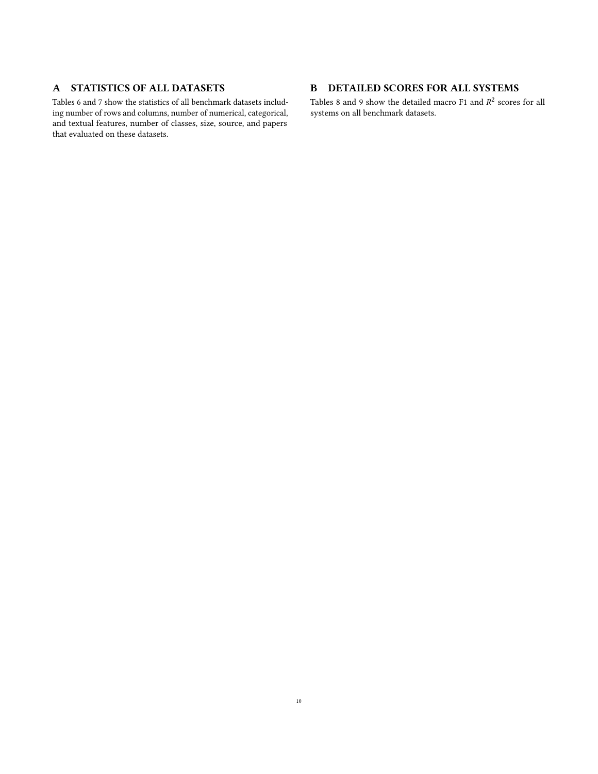# A STATISTICS OF ALL DATASETS

Tables [6](#page-10-0) and [7](#page-11-0) show the statistics of all benchmark datasets including number of rows and columns, number of numerical, categorical, and textual features, number of classes, size, source, and papers that evaluated on these datasets.

# B DETAILED SCORES FOR ALL SYSTEMS

Tables [8](#page-12-0) and [9](#page-13-0) show the detailed macro  $F1$  and  $R^2$  scores for all systems on all benchmark datasets.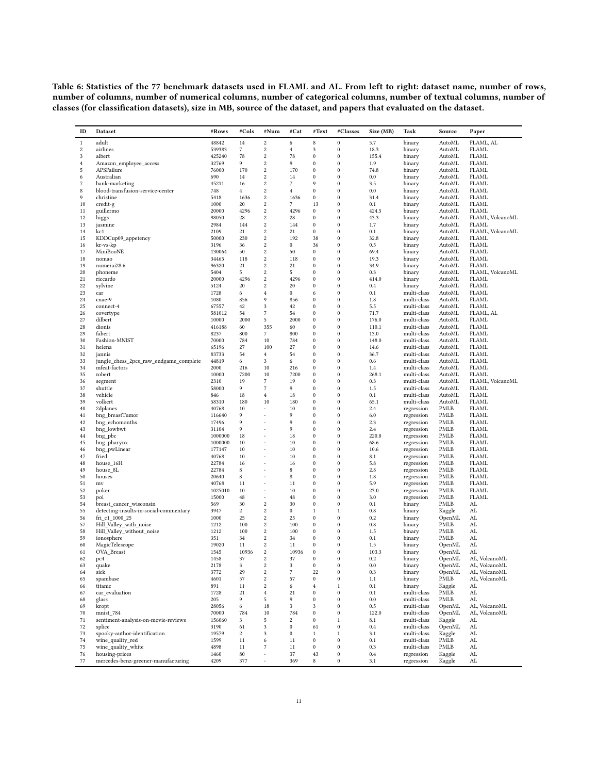<span id="page-10-0"></span>Table 6: Statistics of the 77 benchmark datasets used in FLAML and AL. From left to right: dataset name, number of rows, number of columns, number of numerical columns, number of categorical columns, number of textual columns, number of classes (for classification datasets), size in MB, source of the dataset, and papers that evaluated on the dataset.

| ID             | Dataset                                             | #Rows             | #Cols                     | #Num                     | #Cat             | #Text                    | #Classes                     | Size (MB)     | Task                       | Source           | Paper                            |
|----------------|-----------------------------------------------------|-------------------|---------------------------|--------------------------|------------------|--------------------------|------------------------------|---------------|----------------------------|------------------|----------------------------------|
| $\,1$          | adult                                               | 48842             | 14                        | $\sqrt{2}$               | 6                | 8                        | $\mathbf{0}$                 | 5.7           | binary                     | AutoML           | FLAML, AL                        |
| $\,2$          | airlines                                            | 539383            | $\overline{7}$            | $\sqrt{2}$               | $\overline{4}$   | 3                        | $\bf{0}$                     | 18.3          | binary                     | AutoML           | <b>FLAML</b>                     |
| 3              | albert                                              | 425240            | 78                        | $\,2$                    | 78               | $\bf{0}$                 | $\bf{0}$                     | 155.4         | binary                     | AutoML           | <b>FLAML</b>                     |
| $\bf{4}$       | Amazon_employee_access                              | 32769             | 9                         | $\,2$                    | 9                | $\theta$                 | $\mathbf{0}$                 | 1.9           | binary                     | AutoML           | <b>FLAML</b>                     |
| 5              | APSFailure                                          | 76000             | 170                       | $\sqrt{2}$               | 170              | $\mathbf{0}$             | $\bf{0}$                     | 74.8          | binary                     | AutoML           | <b>FLAML</b>                     |
| 6              | Australian                                          | 690               | 14                        | $\,2\,$                  | 14               | $\bf{0}$                 | $\boldsymbol{0}$             | 0.0           | binary                     | AutoML           | <b>FLAML</b>                     |
| $\overline{7}$ | bank-marketing                                      | 45211             | 16                        | $\,2$                    | $\overline{7}$   | 9                        | $\mathbf{0}$                 | 3.5           | binary                     | AutoML           | <b>FLAML</b>                     |
| 8<br>9         | blood-transfusion-service-center                    | 748               | $^{4}$                    | $\,2$<br>$\,2$           | $\overline{4}$   | $\theta$                 | $\bf{0}$<br>$\boldsymbol{0}$ | 0.0           | binary                     | AutoML           | <b>FLAML</b><br><b>FLAML</b>     |
| 10             | christine<br>credit-g                               | 5418<br>1000      | 1636<br>20                | $\,2$                    | 1636<br>7        | $\bf{0}$<br>13           | $\bf{0}$                     | 31.4<br>0.1   | binary<br>binary           | AutoML<br>AutoML | <b>FLAML</b>                     |
| 11             | guillermo                                           | 20000             | 4296                      | $\,2\,$                  | 4296             | $\bf{0}$                 | $\bf{0}$                     | 424.5         | binary                     | AutoML           | <b>FLAML</b>                     |
| 12             | higgs                                               | 98050             | 28                        | $\sqrt{2}$               | 28               | $\boldsymbol{0}$         | $\bf{0}$                     | 43.3          | binary                     | AutoML           | FLAML, VolcanoML                 |
| 13             | jasmine                                             | 2984              | 144                       | $\,2$                    | 144              | $\bf{0}$                 | $\bf{0}$                     | 1.7           | binary                     | AutoML           | <b>FLAML</b>                     |
| 14             | kc1                                                 | 2109              | 21                        | $\,2\,$                  | 21               | $\bf{0}$                 | $\bf{0}$                     | 0.1           | binary                     | AutoML           | FLAML. VolcanoML                 |
| 15             | KDDCup09_appetency                                  | 50000             | 230                       | $\sqrt{2}$               | 192              | 38                       | $\boldsymbol{0}$             | 32.8          | binary                     | AutoML           | <b>FLAML</b>                     |
| 16             | kr-vs-kp                                            | 3196              | 36                        | $\overline{2}$           | $\mathbf{0}$     | 36                       | $\bf{0}$                     | 0.5           | binary                     | AutoML           | <b>FLAML</b>                     |
| 17             | MiniBooNE                                           | 130064            | 50                        | $\,2\,$                  | 50               | $\bf{0}$                 | $\bf{0}$                     | 69.4          | binary                     | AutoML           | <b>FLAML</b>                     |
| 18             | nomao                                               | 34465             | 118                       | $\sqrt{2}$               | 118              | $\bf{0}$                 | $\bf{0}$                     | 19.3          | binary                     | AutoML           | <b>FLAML</b>                     |
| 19             | numerai28.6                                         | 96320             | 21                        | $\,2$<br>$\,2\,$         | 21<br>5          | $\theta$<br>$\mathbf{0}$ | $\bf{0}$<br>$\bf{0}$         | 34.9          | binary                     | AutoML           | <b>FLAML</b>                     |
| 20<br>21       | phoneme                                             | 5404<br>20000     | 5<br>4296                 | $\,2$                    | 4296             | $\mathbf{0}$             | $\boldsymbol{0}$             | 0.3<br>414.0  | binary                     | AutoML<br>AutoML | FLAML, VolcanoML<br><b>FLAML</b> |
| 22             | riccardo<br>sylvine                                 | 5124              | 20                        | $\overline{2}$           | 20               | $\theta$                 | $\bf{0}$                     | 0.4           | binary<br>binary           | AutoML           | <b>FLAML</b>                     |
| 23             | car                                                 | 1728              | 6                         | $\overline{4}$           | $\bf{0}$         | 6                        | $\boldsymbol{0}$             | 0.1           | multi-class                | AutoML           | <b>FLAML</b>                     |
| 24             | cnae-9                                              | 1080              | 856                       | 9                        | 856              | $\theta$                 | $\boldsymbol{0}$             | 1.8           | multi-class                | AutoML           | <b>FLAML</b>                     |
| 25             | connect-4                                           | 67557             | 42                        | 3                        | 42               | $\theta$                 | $\bf{0}$                     | 5.5           | multi-class                | AutoML           | <b>FLAML</b>                     |
| 26             | covertype                                           | 581012            | 54                        | $\overline{7}$           | 54               | $\mathbf{0}$             | $\boldsymbol{0}$             | 71.7          | multi-class                | AutoML           | FLAML, AL                        |
| 27             | dilbert                                             | 10000             | 2000                      | 5                        | 2000             | $\mathbf{0}$             | $\boldsymbol{0}$             | 176.0         | multi-class                | AutoML           | <b>FLAML</b>                     |
| 28             | dionis                                              | 416188            | 60                        | 355                      | 60               | $\theta$                 | $\bf{0}$                     | 110.1         | multi-class                | AutoML           | <b>FLAML</b>                     |
| 29             | fabert                                              | 8237              | 800                       | 7                        | 800              | $\mathbf{0}$             | $\mathbf{0}$                 | 13.0          | multi-class                | AutoML           | <b>FLAML</b>                     |
| 30             | Fashion-MNIST                                       | 70000             | 784                       | 10                       | 784              | $\theta$                 | $\bf{0}$                     | 148.0         | multi-class                | AutoML           | <b>FLAML</b>                     |
| 31             | helena                                              | 65196             | 27                        | 100                      | 27               | $\theta$                 | $\bf{0}$                     | 14.6          | multi-class                | AutoML           | <b>FLAML</b>                     |
| 32             | jannis<br>jungle_chess_2pcs_raw_endgame_complete    | 83733             | 54                        | $\overline{4}$<br>3      | 54<br>6          | $\theta$<br>$\theta$     | $\mathbf{0}$<br>$\bf{0}$     | 36.7<br>0.6   | multi-class                | AutoML<br>AutoML | <b>FLAML</b><br><b>FLAML</b>     |
| 33<br>34       | mfeat-factors                                       | 44819<br>2000     | 6<br>216                  | 10                       | 216              | $\theta$                 | $\bf{0}$                     | 1.4           | multi-class<br>multi-class | AutoML           | <b>FLAML</b>                     |
| 35             | robert                                              | 10000             | 7200                      | 10                       | 7200             | $\theta$                 | $\mathbf{0}$                 | 268.1         | multi-class                | AutoML           | <b>FLAML</b>                     |
| 36             | segment                                             | 2310              | 19                        | $\scriptstyle\rm 7$      | 19               | $\theta$                 | $\bf{0}$                     | 0.3           | multi-class                | AutoML           | FLAML, VolcanoML                 |
| 37             | shuttle                                             | 58000             | 9                         | $\overline{7}$           | 9                | $\theta$                 | $\bf{0}$                     | 1.5           | multi-class                | AutoML           | <b>FLAML</b>                     |
| 38             | vehicle                                             | 846               | 18                        | $\overline{4}$           | 18               | $\theta$                 | $\mathbf{0}$                 | 0.1           | multi-class                | AutoML           | <b>FLAML</b>                     |
| 39             | volkert                                             | 58310             | 180                       | 10                       | 180              | $\theta$                 | $\bf{0}$                     | 65.1          | multi-class                | AutoML           | <b>FLAML</b>                     |
| 40             | 2dplanes                                            | 40768             | 10                        |                          | 10               | $\bf{0}$                 | $\bf{0}$                     | 2.4           | regression                 | PMLB             | <b>FLAML</b>                     |
| 41             | bng_breastTumor                                     | 116640            | 9                         |                          | 9                | $\theta$                 | $\mathbf{0}$                 | 6.0           | regression                 | PMLB             | <b>FLAML</b>                     |
| 42             | bng_echomonths                                      | 17496             | 9                         |                          | 9                | $\theta$                 | $\bf{0}$                     | 2.3           | regression                 | PMLB             | <b>FLAML</b>                     |
| 43             | bng_lowbwt                                          | 31104             | 9                         |                          | 9                | $\mathbf{0}$             | $\bf{0}$                     | 2.4           | regression                 | PMLB             | <b>FLAML</b>                     |
| 44<br>45       | bng_pbc                                             | 1000000           | 18<br>10                  |                          | 18<br>10         | $\theta$<br>$\theta$     | $\mathbf{0}$<br>$\bf{0}$     | 220.8<br>68.6 | regression                 | PMLB             | <b>FLAML</b>                     |
| 46             | bng_pharynx<br>bng_pwLinear                         | 1000000<br>177147 | 10                        | $\sim$                   | 10               | $\bf{0}$                 | $\boldsymbol{0}$             | 10.6          | regression<br>regression   | PMLB<br>PMLB     | <b>FLAML</b><br><b>FLAML</b>     |
| 47             | fried                                               | 40768             | 10                        |                          | 10               | $\theta$                 | $\bf{0}$                     | 8.1           | regression                 | PMLB             | <b>FLAML</b>                     |
| 48             | house_16H                                           | 22784             | 16                        |                          | 16               | $\theta$                 | $\bf{0}$                     | 5.8           | regression                 | PMLB             | <b>FLAML</b>                     |
| 49             | house_8L                                            | 22784             | 8                         |                          | $\,$ 8 $\,$      | $\mathbf{0}$             | $\bf{0}$                     | 2.8           | regression                 | PMLB             | <b>FLAML</b>                     |
| 50             | houses                                              | 20640             | 8                         |                          | 8                | $\theta$                 | $\bf{0}$                     | 1.8           | regression                 | PMLB             | FLAML                            |
| 51             | mv                                                  | 40768             | 11                        |                          | 11               | $\theta$                 | $\bf{0}$                     | 5.9           | regression                 | PMLB             | <b>FLAML</b>                     |
| 52             | poker                                               | 1025010           | 10                        | ×,                       | 10               | $\mathbf{0}$             | $\boldsymbol{0}$             | 23.0          | regression                 | PMLB             | <b>FLAML</b>                     |
| 53             | pol                                                 | 15000             | 48                        | $\overline{\phantom{a}}$ | 48               | $\theta$                 | $\bf{0}$                     | 3.0           | regression                 | PMLB             | <b>FLAML</b>                     |
| 54             | breast cancer wisconsin                             | 569               | 30                        | $\overline{2}$           | 30               | $\theta$                 | $\bf{0}$                     | 0.1           | binary                     | PMLB             | AL                               |
| 55             | detecting-insults-in-social-commentary              | 3947              | $\,2$                     | $\boldsymbol{2}$         | $\bf{0}$         | 1                        | 1                            | $0.8\,$       | binary                     | Kaggle           | AL                               |
| 56             | fri_c1_1000_25                                      | 1000              | 25                        | $\,2$<br>$\,2$           | 25<br>100        | $\theta$<br>$\mathbf{0}$ | $\bf{0}$                     | 0.2           | binary                     | OpenML           | AL                               |
| 57<br>58       | Hill_Valley_with_noise<br>Hill_Valley_without_noise | 1212<br>1212      | 100<br>100                | $\,2$                    | 100              | $\mathbf{0}$             | $\bf{0}$<br>$\boldsymbol{0}$ | 0.8<br>1.5    | binary<br>binary           | PMLB<br>PMLB     | AL<br>AL                         |
| 59             | ionosphere                                          | 351               | 34                        | $\,2$                    | 34               | $\theta$                 | $\bf{0}$                     | 0.1           | binary                     | PMLB             | AL                               |
| 60             | MagicTelescope                                      | 19020             | 11                        | $\,2$                    | 11               | $\bf{0}$                 | $\bf{0}$                     | 1.5           | binary                     | OpenML           | AL                               |
| 61             | OVA_Breast                                          | 1545              | 10936                     | $\,2$                    | 10936            | $\bf{0}$                 | $\bf{0}$                     | 103.3         | binary                     | OpenML           | AL                               |
| 62             | pc4                                                 | 1458              | 37                        | $\overline{2}$           | 37               | $\Omega$                 | $\Omega$                     | 0.2           | binary                     | OpenML           | AL, VolcanoML                    |
| 63             | quake                                               | 2178              | $\boldsymbol{\mathsf{3}}$ | $\,2$                    | $\,$ 3 $\,$      | $\boldsymbol{0}$         | $\boldsymbol{0}$             | $0.0\,$       | binary                     | OpenML           | AL, VolcanoML                    |
| 64             | sick                                                | 3772              | 29                        | $\,2$                    | $\overline{7}$   | 22                       | $\boldsymbol{0}$             | 0.3           | binary                     | OpenML           | AL, VolcanoML                    |
| 65             | spambase                                            | 4601              | 57                        | $\,2$                    | 57               | $\boldsymbol{0}$         | $\bf{0}$                     | 1.1           | binary                     | PMLB             | AL. VolcanoML                    |
| 66             | titanic                                             | 891               | 11                        | $\,2$                    | 6                | $\overline{4}$           | $\,1$                        | 0.1           | binary                     | Kaggle           | AL                               |
| 67             | car_evaluation                                      | 1728              | 21                        | $\,4$                    | 21               | $\bf{0}$                 | $\boldsymbol{0}$             | 0.1           | multi-class                | PMLB             | AL                               |
| 68             | glass                                               | 205               | 9                         | 5                        | 9                | $\bf{0}$                 | $\bf{0}$                     | 0.0           | multi-class                | PMLB             | AL                               |
| 69             | kropt                                               | 28056             | 6                         | 18                       | 3                | 3                        | $\boldsymbol{0}$             | $0.5\,$       | multi-class                | OpenML           | AL, VolcanoML                    |
| 70<br>71       | mnist_784<br>sentiment-analysis-on-movie-reviews    | 70000<br>156060   | 784<br>3                  | 10<br>$\sqrt{5}$         | 784<br>$\,2\,$   | $\bf{0}$<br>$\bf{0}$     | $\boldsymbol{0}$<br>$\,1$    | 122.0<br>8.1  | multi-class<br>multi-class | OpenML<br>Kaggle | AL, VolcanoML<br>AL              |
| 72             | splice                                              | 3190              | 61                        | 3                        | $\boldsymbol{0}$ | 61                       | $\boldsymbol{0}$             | 0.4           | multi-class                | OpenML           | AL                               |
| 73             | spooky-author-identification                        | 19579             | $\,2$                     | $\sqrt{3}$               | $\bf{0}$         | $1\,$                    | $\,1$                        | 3.1           | multi-class                | Kaggle           | AL                               |
| 74             | wine_quality_red                                    | 1599              | 11                        | 6                        | 11               | $\boldsymbol{0}$         | $\boldsymbol{0}$             | 0.1           | multi-class                | PMLB             | AL                               |
| 75             | wine_quality_white                                  | 4898              | 11                        | $\scriptstyle\rm 7$      | 11               | $\boldsymbol{0}$         | $\boldsymbol{0}$             | 0.3           | multi-class                | PMLB             | AL                               |
| 76             | housing-prices                                      | 1460              | 80                        |                          | 37               | 43                       | $\boldsymbol{0}$             | 0.4           | regression                 | Kaggle           | AL.                              |
| 77             | mercedes-benz-greener-manufacturing                 | 4209              | 377                       |                          | 369              | 8                        | $\boldsymbol{0}$             | 3.1           | regression                 | Kaggle           | AL                               |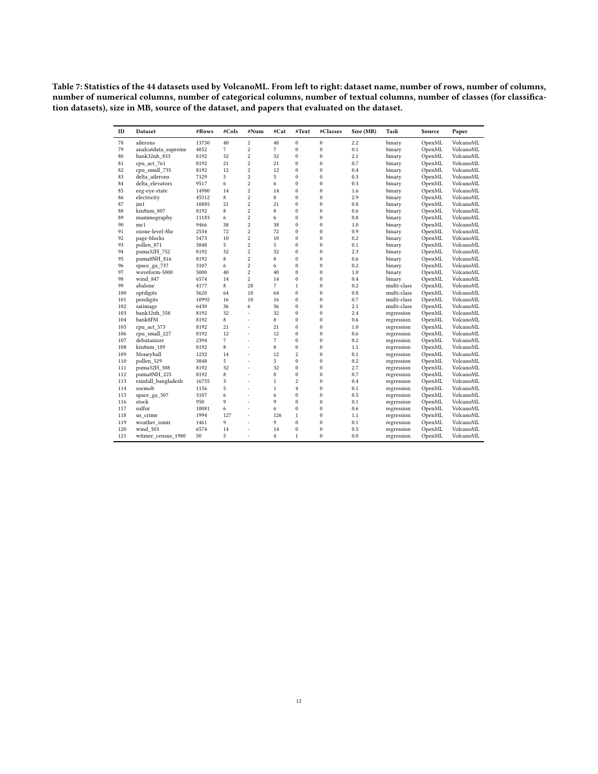<span id="page-11-0"></span>Table 7: Statistics of the 44 datasets used by VolcanoML. From left to right: dataset name, number of rows, number of columns, number of numerical columns, number of categorical columns, number of textual columns, number of classes (for classification datasets), size in MB, source of the dataset, and papers that evaluated on the dataset.

| ID  | <b>Dataset</b>      | #Rows | #Cols          | #Num                    | #Cat           | #Text            | #Classes         | Size (MB) | Task                     | Source | Paper     |
|-----|---------------------|-------|----------------|-------------------------|----------------|------------------|------------------|-----------|--------------------------|--------|-----------|
| 78  | ailerons            | 13750 | 40             | $\overline{\mathbf{c}}$ | 40             | $\boldsymbol{0}$ | $\boldsymbol{0}$ | 2.2       | binary                   | OpenML | VolcanoML |
| 79  | analcatdata supreme | 4052  | $\overline{7}$ | $\overline{c}$          | $\overline{7}$ | $\mathbf{0}$     | $\mathbf{0}$     | 0.1       | binary                   | OpenML | VolcanoML |
| 80  | bank32nh_833        | 8192  | 32             | $\overline{c}$          | 32             | $\mathbf{0}$     | $\mathbf{0}$     | 2.1       | binary                   | OpenML | VolcanoML |
| 81  | cpu act 761         | 8192  | 21             | $\overline{c}$          | 21             | $\mathbf{0}$     | $\mathbf{0}$     | 0.7       | binary                   | OpenML | VolcanoML |
| 82  | cpu small 735       | 8192  | 12             | $\overline{c}$          | 12             | $\mathbf{0}$     | $\mathbf{0}$     | 0.4       | binary                   | OpenML | VolcanoML |
| 83  | delta_ailerons      | 7129  | 5              | $\overline{c}$          | 5              | $\mathbf{0}$     | $\boldsymbol{0}$ | 0.3       | binary                   | OpenML | VolcanoML |
| 84  | delta elevators     | 9517  | 6              | $\overline{\mathbf{c}}$ | 6              | $\mathbf{0}$     | $\mathbf{0}$     | 0.3       | binary                   | OpenML | VolcanoML |
| 85  | eeg-eye-state       | 14980 | 14             | $\overline{c}$          | 14             | $\mathbf{0}$     | $\boldsymbol{0}$ | 1.6       | binary                   | OpenML | VolcanoML |
| 86  | electricity         | 45312 | 8              | $\overline{c}$          | 8              | $\mathbf{0}$     | $\mathbf{0}$     | 2.9       | binary                   | OpenML | VolcanoML |
| 87  | jm1                 | 10885 | 21             | $\overline{c}$          | 21             | $\mathbf{0}$     | $\mathbf{0}$     | 0.8       | binary                   | OpenML | VolcanoML |
| 88  | kin8nm 807          | 8192  | 8              | $\overline{c}$          | 8              | $\mathbf{0}$     | $\boldsymbol{0}$ | 0.6       | binary                   | OpenML | VolcanoML |
| 89  | mammography         | 11183 | 6              | $\overline{c}$          | 6              | $\mathbf{0}$     | $\boldsymbol{0}$ | 0.8       | binary                   | OpenML | VolcanoML |
| 90  | mc1                 | 9466  | 38             | $\overline{c}$          | 38             | $\mathbf{0}$     | $\mathbf{0}$     | 1.0       | binary                   | OpenML | VolcanoML |
| 91  | ozone-level-8hr     | 2534  | 72             | $\overline{c}$          | 72             | $\mathbf{0}$     | $\boldsymbol{0}$ | 0.9       | binary                   | OpenML | VolcanoML |
| 92  | page-blocks         | 5473  | 10             | $\overline{c}$          | 10             | $\mathbf{0}$     | $\mathbf{0}$     | 0.2       | binary                   | OpenML | VolcanoML |
| 93  | pollen_871          | 3848  | 5              | $\overline{2}$          | 5              | $\mathbf{0}$     | $\mathbf{0}$     | 0.1       | binary                   | OpenML | VolcanoML |
| 94  | puma32H 752         | 8192  | 32             | $\overline{c}$          | 32             | $\mathbf{0}$     | $\boldsymbol{0}$ | 2.3       | binary                   | OpenML | VolcanoML |
| 95  | puma8NH_816         | 8192  | 8              | $\overline{c}$          | 8              | $\mathbf{0}$     | $\mathbf{0}$     | 0.6       | binary                   | OpenML | VolcanoML |
| 96  | space_ga_737        | 3107  | 6              | $\overline{c}$          | 6              | $\mathbf{0}$     | $\mathbf{0}$     | 0.2       | binary                   | OpenML | VolcanoML |
| 97  | waveform-5000       | 5000  | 40             | $\overline{\mathbf{c}}$ | 40             | $\mathbf{0}$     | $\boldsymbol{0}$ | 1.0       | binary                   | OpenML | VolcanoML |
| 98  | wind 847            | 6574  | 14             | $\overline{c}$          | 14             | $\mathbf{0}$     | $\mathbf{0}$     | 0.4       | binary                   | OpenML | VolcanoML |
| 99  | abalone             | 4177  | 8              | 28                      | $\overline{7}$ | $\mathbf{1}$     | $\mathbf{0}$     | 0.2       | multi-class              | OpenML | VolcanoML |
| 100 | optdigits           | 5620  | 64             | 10                      | 64             | $\Omega$         | $\mathbf{0}$     | 0.8       | multi-class              | OpenML | VolcanoML |
| 101 | pendigits           | 10992 | 16             | 10                      | 16             | $\mathbf{0}$     | $\mathbf{0}$     | 0.7       | multi-class              | OpenML | VolcanoML |
| 102 | satimage            | 6430  | 36             | 6                       | 36             | $\boldsymbol{0}$ | $\boldsymbol{0}$ | 2.1       | multi-class              | OpenML | VolcanoML |
| 103 | bank32nh_558        | 8192  | 32             | L,                      | 32             | $\mathbf{0}$     | $\boldsymbol{0}$ | 2.4       | regression               | OpenML | VolcanoML |
| 104 | bank8FM             | 8192  | 8              | ä,                      | 8              | $\mathbf{0}$     | $\mathbf{0}$     | 0.6       |                          | OpenML | VolcanoML |
| 105 | cpu_act_573         | 8192  | 21             | L,                      | 21             | $\mathbf{0}$     | $\boldsymbol{0}$ | 1.0       | regression<br>regression | OpenML | VolcanoML |
| 106 |                     | 8192  | 12             |                         | 12             | $\mathbf{0}$     | $\mathbf{0}$     | 0.6       |                          |        | VolcanoML |
|     | cpu_small_227       |       | $\overline{7}$ | ä,<br>í.                | $\overline{7}$ | $\mathbf{0}$     |                  |           | regression               | OpenML |           |
| 107 | debutanizer         | 2394  | 8              |                         |                | $\mathbf{0}$     | $\boldsymbol{0}$ | 0.2       | regression               | OpenML | VolcanoML |
| 108 | kin8nm 189          | 8192  |                | í.                      | 8              |                  | $\boldsymbol{0}$ | 1.1       | regression               | OpenML | VolcanoML |
| 109 | Moneyball           | 1232  | 14             | i.                      | 12             | $\overline{2}$   | $\boldsymbol{0}$ | 0.1       | regression               | OpenML | VolcanoML |
| 110 | pollen 529          | 3848  | 5              | L,                      | 5              | $\mathbf{0}$     | $\boldsymbol{0}$ | 0.2       | regression               | OpenML | VolcanoML |
| 111 | puma32H 308         | 8192  | 32             | í.                      | 32             | $\mathbf{0}$     | $\boldsymbol{0}$ | 2.7       | regression               | OpenML | VolcanoML |
| 112 | puma8NH_225         | 8192  | 8              | ä,                      | 8              | $\mathbf{0}$     | $\mathbf{0}$     | 0.7       | regression               | OpenML | VolcanoML |
| 113 | rainfall bangladesh | 16755 | 3              | L,                      | $\mathbf{1}$   | $\overline{2}$   | $\mathbf{0}$     | 0.4       | regression               | OpenML | VolcanoML |
| 114 | socmob              | 1156  | 5              | í.                      | $\mathbf{1}$   | $\overline{4}$   | $\boldsymbol{0}$ | 0.1       | regression               | OpenML | VolcanoML |
| 115 | space_ga_507        | 3107  | 6              | ٠                       | 6              | $\mathbf{0}$     | $\mathbf{0}$     | 0.5       | regression               | OpenML | VolcanoML |
| 116 | stock               | 950   | 9              |                         | 9              | $\mathbf{0}$     | $\mathbf{0}$     | 0.1       | regression               | OpenML | VolcanoML |
| 117 | sulfur              | 10081 | 6              | L,                      | 6              | $\mathbf{0}$     | $\boldsymbol{0}$ | 0.6       | regression               | OpenML | VolcanoML |
| 118 | us crime            | 1994  | 127            | L,                      | 126            | $\mathbf{1}$     | $\mathbf{0}$     | 1.1       | regression               | OpenML | VolcanoML |
| 119 | weather izmir       | 1461  | 9              | í.                      | 9              | $\mathbf{0}$     | $\mathbf{0}$     | 0.1       | regression               | OpenML | VolcanoML |
| 120 | wind 503            | 6574  | 14             | ٠                       | 14             | $\mathbf{0}$     | $\bf{0}$         | 0.5       | regression               | OpenML | VolcanoML |
| 121 | witmer_census_1980  | 50    | 5              |                         | $\overline{4}$ | $\mathbf{1}$     | $\mathbf{0}$     | 0.0       | regression               | OpenML | VolcanoML |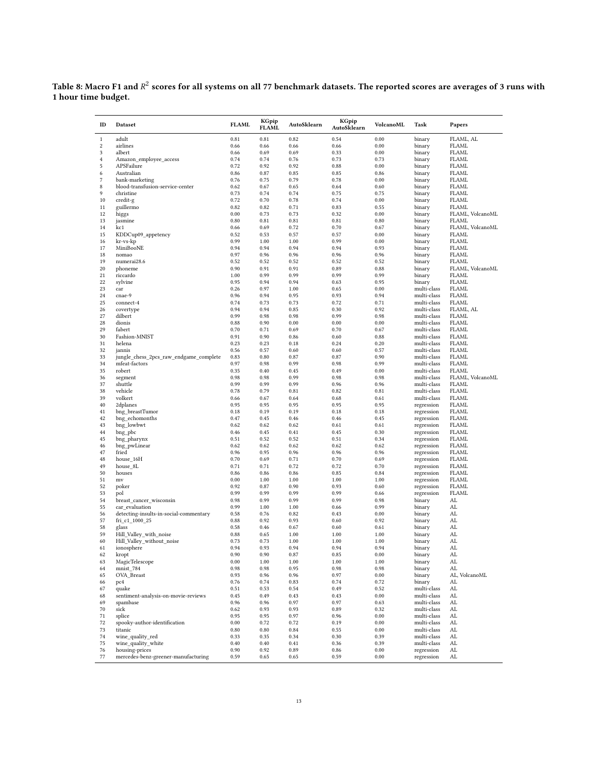<span id="page-12-0"></span>Table 8: Macro F1 and  $R^2$  scores for all systems on all 77 benchmark datasets. The reported scores are averages of 3 runs with 1 hour time budget.

| ID                  | Dataset                                                 | <b>FLAML</b> | KGpip<br><b>FLAML</b> | AutoSklearn  | KGpip<br>AutoSklearn | VolcanoML    | Task                       | Papers                           |
|---------------------|---------------------------------------------------------|--------------|-----------------------|--------------|----------------------|--------------|----------------------------|----------------------------------|
| $1\,$               | adult                                                   | 0.81         | 0.81                  | 0.82         | 0.54                 | 0.00         | binary                     | FLAML, AL                        |
| $\boldsymbol{2}$    | airlines                                                | 0.66         | 0.66                  | 0.66         | 0.66                 | 0.00         | binary                     | <b>FLAML</b>                     |
| 3<br>$\overline{4}$ | albert                                                  | 0.66<br>0.74 | 0.69<br>0.74          | 0.69<br>0.76 | 0.33<br>0.73         | 0.00<br>0.73 | binary                     | <b>FLAML</b><br><b>FLAML</b>     |
| 5                   | Amazon_employee_access<br>APSFailure                    | 0.72         | 0.92                  | 0.92         | 0.88                 | 0.00         | binary<br>binary           | <b>FLAML</b>                     |
| 6                   | Australian                                              | 0.86         | 0.87                  | 0.85         | 0.85                 | 0.86         | binary                     | <b>FLAML</b>                     |
| 7                   | bank-marketing                                          | 0.76         | 0.75                  | 0.79         | 0.78                 | 0.00         | binary                     | <b>FLAML</b>                     |
| 8                   | blood-transfusion-service-center                        | 0.62         | 0.67                  | 0.65         | 0.64                 | 0.60         | binary                     | <b>FLAML</b>                     |
| 9                   | christine                                               | 0.73         | 0.74                  | 0.74         | 0.75                 | 0.75         | binary                     | <b>FLAML</b>                     |
| 10                  | credit-g                                                | 0.72         | 0.70                  | 0.78         | 0.74                 | 0.00         | binary                     | <b>FLAML</b>                     |
| 11                  | guillermo                                               | 0.82         | 0.82                  | 0.71         | 0.83                 | 0.55         | binary                     | <b>FLAML</b>                     |
| 12                  | higgs                                                   | 0.00         | 0.73                  | 0.73         | 0.32                 | 0.00         | binary                     | FLAML, VolcanoML                 |
| 13<br>14            | jasmine<br>kc1                                          | 0.80<br>0.66 | 0.81<br>0.69          | 0.81<br>0.72 | 0.81<br>0.70         | 0.80<br>0.67 | binary                     | <b>FLAML</b><br>FLAML, VolcanoML |
| 15                  | KDDCup09_appetency                                      | 0.52         | 0.53                  | 0.57         | 0.57                 | 0.00         | binary<br>binary           | <b>FLAML</b>                     |
| 16                  | kr-vs-kp                                                | 0.99         | 1.00                  | 1.00         | 0.99                 | 0.00         | binary                     | <b>FLAML</b>                     |
| 17                  | MiniBooNE                                               | 0.94         | 0.94                  | 0.94         | 0.94                 | 0.93         | binary                     | <b>FLAML</b>                     |
| 18                  | nomao                                                   | 0.97         | 0.96                  | 0.96         | 0.96                 | 0.96         | binary                     | <b>FLAML</b>                     |
| 19                  | numerai28.6                                             | 0.52         | 0.52                  | 0.52         | 0.52                 | 0.52         | binary                     | <b>FLAML</b>                     |
| 20                  | phoneme                                                 | 0.90         | 0.91                  | 0.91         | 0.89                 | 0.88         | binary                     | FLAML, VolcanoML                 |
| 21                  | riccardo                                                | 1.00         | 0.99                  | 0.99         | 0.99                 | 0.99         | binary                     | <b>FLAML</b>                     |
| 22                  | sylvine                                                 | 0.95         | 0.94                  | 0.94         | 0.63                 | 0.95         | binary                     | <b>FLAML</b>                     |
| 23<br>24            | car<br>cnae-9                                           | 0.26<br>0.96 | 0.97<br>0.94          | 1.00<br>0.95 | 0.65<br>0.93         | 0.00<br>0.94 | multi-class<br>multi-class | <b>FLAML</b><br><b>FLAML</b>     |
| 25                  | connect-4                                               | 0.74         | 0.73                  | 0.73         | 0.72                 | 0.71         | multi-class                | <b>FLAML</b>                     |
| 26                  | covertype                                               | 0.94         | 0.94                  | 0.85         | 0.30                 | 0.92         | multi-class                | FLAML, AL                        |
| 27                  | dilbert                                                 | 0.99         | 0.98                  | 0.98         | 0.99                 | 0.98         | multi-class                | <b>FLAML</b>                     |
| 28                  | dionis                                                  | 0.88         | 0.90                  | 0.00         | 0.00                 | 0.00         | multi-class                | <b>FLAML</b>                     |
| 29                  | fabert                                                  | 0.70         | 0.71                  | 0.69         | 0.70                 | 0.67         | multi-class                | <b>FLAML</b>                     |
| 30                  | Fashion-MNIST                                           | 0.91         | 0.90                  | 0.86         | 0.60                 | 0.88         | multi-class                | <b>FLAML</b>                     |
| 31                  | helena                                                  | 0.23         | 0.23                  | 0.18         | 0.24                 | 0.20         | multi-class                | <b>FLAML</b>                     |
| 32                  | jannis                                                  | 0.56         | 0.57                  | 0.60         | 0.60                 | 0.57         | multi-class                | <b>FLAML</b>                     |
| 33<br>34            | jungle_chess_2pcs_raw_endgame_complete<br>mfeat-factors | 0.83<br>0.97 | 0.80<br>0.98          | 0.87<br>0.99 | 0.87<br>0.98         | 0.90<br>0.99 | multi-class<br>multi-class | <b>FLAML</b><br><b>FLAML</b>     |
| 35                  | robert                                                  | 0.35         | 0.40                  | 0.45         | 0.49                 | 0.00         | multi-class                | <b>FLAML</b>                     |
| 36                  | segment                                                 | 0.98         | 0.98                  | 0.99         | 0.98                 | 0.98         | multi-class                | FLAML, VolcanoML                 |
| 37                  | shuttle                                                 | 0.99         | 0.99                  | 0.99         | 0.96                 | 0.96         | multi-class                | <b>FLAML</b>                     |
| 38                  | vehicle                                                 | 0.78         | 0.79                  | 0.81         | 0.82                 | 0.81         | multi-class                | <b>FLAML</b>                     |
| 39                  | volkert                                                 | 0.66         | 0.67                  | 0.64         | 0.68                 | 0.61         | multi-class                | <b>FLAML</b>                     |
| 40                  | 2dplanes                                                | 0.95         | 0.95                  | 0.95         | 0.95                 | 0.95         | regression                 | <b>FLAML</b>                     |
| 41                  | bng_breastTumor                                         | 0.18         | 0.19                  | 0.19         | 0.18                 | 0.18         | regression                 | <b>FLAML</b>                     |
| 42                  | bng_echomonths                                          | 0.47         | 0.45                  | 0.46         | 0.46                 | 0.45         | regression                 | <b>FLAML</b>                     |
| 43<br>44            | bng_lowbwt<br>bng_pbc                                   | 0.62<br>0.46 | 0.62<br>0.45          | 0.62<br>0.41 | 0.61<br>0.45         | 0.61<br>0.30 | regression<br>regression   | <b>FLAML</b><br><b>FLAML</b>     |
| 45                  | bng_pharynx                                             | 0.51         | 0.52                  | 0.52         | 0.51                 | 0.34         | regression                 | <b>FLAML</b>                     |
| 46                  | bng_pwLinear                                            | 0.62         | 0.62                  | 0.62         | 0.62                 | 0.62         | regression                 | <b>FLAML</b>                     |
| 47                  | fried                                                   | 0.96         | 0.95                  | 0.96         | 0.96                 | 0.96         | regression                 | <b>FLAML</b>                     |
| 48                  | house_16H                                               | 0.70         | 0.69                  | 0.71         | 0.70                 | 0.69         | regression                 | <b>FLAML</b>                     |
| 49                  | house_8L                                                | 0.71         | 0.71                  | 0.72         | 0.72                 | 0.70         | regression                 | <b>FLAML</b>                     |
| 50                  | houses                                                  | 0.86         | 0.86                  | 0.86         | 0.85                 | 0.84         | regression                 | <b>FLAML</b>                     |
| 51                  | mv                                                      | 0.00         | 1.00                  | 1.00         | 1.00                 | 1.00         | regression                 | <b>FLAML</b>                     |
| 52                  | poker                                                   | 0.92         | 0.87                  | 0.90         | 0.93                 | 0.60         | regression                 | <b>FLAML</b>                     |
| 53<br>54            | pol<br>breast_cancer_wisconsin                          | 0.99<br>0.98 | 0.99<br>0.99          | 0.99<br>0.99 | 0.99<br>0.99         | 0.66<br>0.98 | regression<br>binary       | <b>FLAML</b><br>AL.              |
| 55                  | car_evaluation                                          | 0.99         | 1.00                  | 1.00         | 0.66                 | 0.99         | binary                     | AL                               |
| 56                  | detecting-insults-in-social-commentary                  | 0.58         | 0.76                  | 0.82         | 0.43                 | 0.00         | binary                     | AL                               |
| 57                  | fri c1 1000 25                                          | 0.88         | 0.92                  | 0.93         | 0.60                 | 0.92         | binary                     | AL.                              |
| 58                  | glass                                                   | 0.58         | 0.46                  | 0.67         | 0.60                 | 0.61         | binary                     | AL                               |
| 59                  | Hill_Valley_with_noise                                  | 0.88         | 0.65                  | 1.00         | 1.00                 | 1.00         | binary                     | AL.                              |
| 60                  | Hill_Valley_without_noise                               | 0.73         | 0.73                  | 1.00         | 1.00                 | 1.00         | binary                     | AL                               |
| 61                  | ionosphere                                              | 0.94         | 0.93                  | 0.94         | 0.94                 | 0.94         | binary                     | AL                               |
| 62                  | kropt                                                   | 0.90         | 0.90                  | 0.87         | 0.85                 | 0.00         | binary                     | AL                               |
| 63<br>64            | MagicTelescope<br>mnist_784                             | 0.00<br>0.98 | 1.00<br>0.98          | 1.00<br>0.95 | 1.00<br>0.98         | 1.00<br>0.98 | binary<br>binary           | AL<br>AL                         |
| 65                  | OVA_Breast                                              | 0.93         | 0.96                  | 0.96         | 0.97                 | 0.00         | binary                     | AL, VolcanoML                    |
| 66                  | pc4                                                     | 0.76         | 0.74                  | 0.83         | 0.74                 | 0.72         | binary                     | AL                               |
| 67                  | quake                                                   | 0.51         | 0.53                  | 0.54         | 0.49                 | 0.52         | multi-class                | AL                               |
| 68                  | sentiment-analysis-on-movie-reviews                     | 0.45         | 0.49                  | 0.43         | 0.43                 | 0.00         | multi-class                | AL                               |
| 69                  | spambase                                                | 0.96         | 0.96                  | 0.97         | 0.97                 | 0.63         | multi-class                | AL                               |
| 70                  | sick                                                    | 0.62         | 0.93                  | 0.93         | 0.89                 | 0.32         | multi-class                | AL                               |
| 71                  | splice                                                  | 0.95         | 0.95                  | 0.97         | 0.96                 | 0.00         | multi-class                | AL                               |
| 72                  | spooky-author-identification                            | 0.00         | 0.72                  | 0.72         | 0.19                 | 0.00         | multi-class                | AL                               |
| 73                  | titanic                                                 | 0.80         | 0.80                  | 0.84         | 0.55                 | 0.00         | multi-class                | AL                               |
| 74                  | wine quality red                                        | 0.33         | 0.35                  | 0.34         | 0.30                 | 0.39         | multi-class<br>multi-class | AL                               |
| 75<br>76            | wine_quality_white<br>housing-prices                    | 0.40<br>0.90 | 0.40<br>0.92          | 0.41<br>0.89 | 0.36<br>0.86         | 0.39<br>0.00 | regression                 | AL<br>AL                         |
| 77                  | mercedes-benz-greener-manufacturing                     | 0.59         | 0.65                  | 0.65         | 0.59                 | 0.00         | regression                 | AL                               |
|                     |                                                         |              |                       |              |                      |              |                            |                                  |